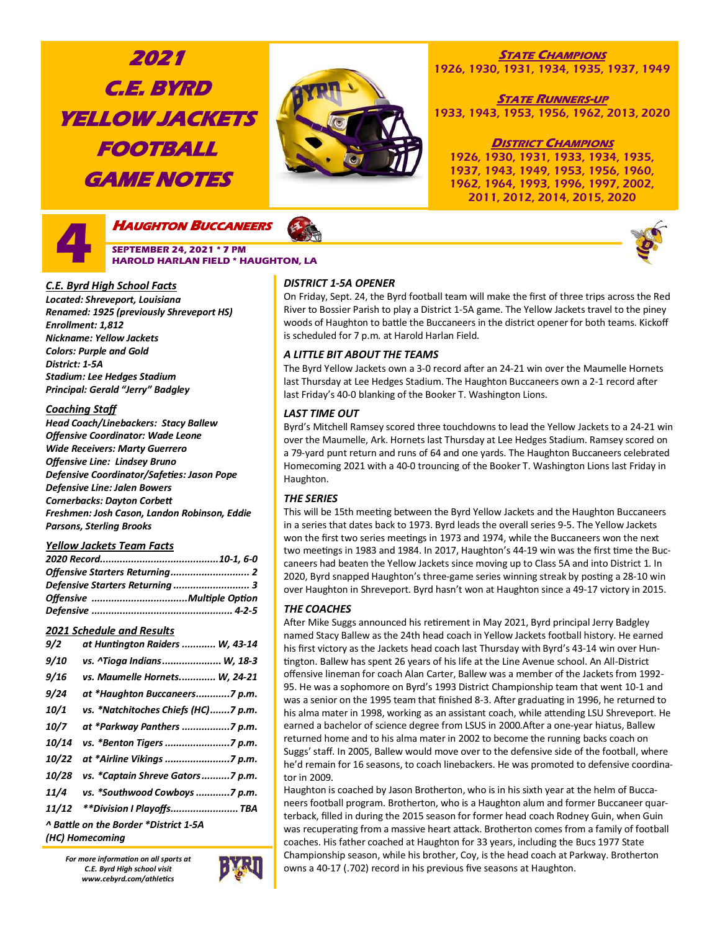# **2021 C.E. BYRD YELLOW JACKETS FOOTBALL GAME NOTES**



### **STATE CHAMPIONS** 1926, 1930, 1931, 1934, 1935, 1937, 1949

**STATE RUNNERS-UP** 1933, 1943, 1953, 1956, 1962, 2013, 2020

### **DISTRICT CHAMPIONS**

1926, 1930, 1931, 1933, 1934, 1935, 1937, 1943, 1949, 1953, 1956, 1960, 1962, 1964, 1993, 1996, 1997, 2002, 2011, 2012, 2014, 2015, 2020



### *C.E. Byrd High School Facts*

*Located: Shreveport, Louisiana Renamed: 1925 (previously Shreveport HS) Enrollment: 1,812 Nickname: Yellow Jackets Colors: Purple and Gold District: 1-5A Stadium: Lee Hedges Stadium Principal: Gerald "Jerry" Badgley*

### *Coaching Staff*

*Head Coach/Linebackers: Stacy Ballew Offensive Coordinator: Wade Leone Wide Receivers: Marty Guerrero Offensive Line: Lindsey Bruno Defensive Coordinator/Safeties: Jason Pope Defensive Line: Jalen Bowers Cornerbacks: Dayton Corbett Freshmen: Josh Cason, Landon Robinson, Eddie Parsons, Sterling Brooks*

### *Yellow Jackets Team Facts*

| Defensive Starters Returning  3 |  |
|---------------------------------|--|
|                                 |  |
|                                 |  |

### *2021 Schedule and Results*

| 9/2                                   | at Huntington Raiders  W, 43-14     |  |  |  |
|---------------------------------------|-------------------------------------|--|--|--|
| <i>9/10</i>                           | vs. ^Tioga Indians W, 18-3          |  |  |  |
| 9/16                                  | vs. Maumelle Hornets W, 24-21       |  |  |  |
| 9/24                                  | at *Haughton Buccaneers7 p.m.       |  |  |  |
| 10/1                                  | vs. *Natchitoches Chiefs (HC)7 p.m. |  |  |  |
| 10/7                                  | at *Parkway Panthers 7 p.m.         |  |  |  |
| 10/14                                 |                                     |  |  |  |
| 10/22                                 |                                     |  |  |  |
| 10/28                                 | vs. *Captain Shreve Gators7 p.m.    |  |  |  |
| 11/4                                  | vs. *Southwood Cowboys 7 p.m.       |  |  |  |
| 11/12                                 | **Division   Playoffs TBA           |  |  |  |
| ^ Battle on the Border *District 1-5A |                                     |  |  |  |
|                                       | (HC) Homecoming                     |  |  |  |

*For more information on all sports at C.E. Byrd High school visit www.cebyrd.com/athletics*



### *DISTRICT 1-5A OPENER*

On Friday, Sept. 24, the Byrd football team will make the first of three trips across the Red River to Bossier Parish to play a District 1-5A game. The Yellow Jackets travel to the piney woods of Haughton to battle the Buccaneers in the district opener for both teams. Kickoff is scheduled for 7 p.m. at Harold Harlan Field.

### *A LITTLE BIT ABOUT THE TEAMS*

The Byrd Yellow Jackets own a 3-0 record after an 24-21 win over the Maumelle Hornets last Thursday at Lee Hedges Stadium. The Haughton Buccaneers own a 2-1 record after last Friday's 40-0 blanking of the Booker T. Washington Lions.

### *LAST TIME OUT*

Byrd's Mitchell Ramsey scored three touchdowns to lead the Yellow Jackets to a 24-21 win over the Maumelle, Ark. Hornets last Thursday at Lee Hedges Stadium. Ramsey scored on a 79-yard punt return and runs of 64 and one yards. The Haughton Buccaneers celebrated Homecoming 2021 with a 40-0 trouncing of the Booker T. Washington Lions last Friday in Haughton.

### *THE SERIES*

This will be 15th meeting between the Byrd Yellow Jackets and the Haughton Buccaneers in a series that dates back to 1973. Byrd leads the overall series 9-5. The Yellow Jackets won the first two series meetings in 1973 and 1974, while the Buccaneers won the next two meetings in 1983 and 1984. In 2017, Haughton's 44-19 win was the first time the Buccaneers had beaten the Yellow Jackets since moving up to Class 5A and into District 1. In 2020, Byrd snapped Haughton's three-game series winning streak by posting a 28-10 win over Haughton in Shreveport. Byrd hasn't won at Haughton since a 49-17 victory in 2015.

### *THE COACHES*

After Mike Suggs announced his retirement in May 2021, Byrd principal Jerry Badgley named Stacy Ballew as the 24th head coach in Yellow Jackets football history. He earned his first victory as the Jackets head coach last Thursday with Byrd's 43-14 win over Huntington. Ballew has spent 26 years of his life at the Line Avenue school. An All-District offensive lineman for coach Alan Carter, Ballew was a member of the Jackets from 1992- 95. He was a sophomore on Byrd's 1993 District Championship team that went 10-1 and was a senior on the 1995 team that finished 8-3. After graduating in 1996, he returned to his alma mater in 1998, working as an assistant coach, while attending LSU Shreveport. He earned a bachelor of science degree from LSUS in 2000.After a one-year hiatus, Ballew returned home and to his alma mater in 2002 to become the running backs coach on Suggs' staff. In 2005, Ballew would move over to the defensive side of the football, where he'd remain for 16 seasons, to coach linebackers. He was promoted to defensive coordinator in 2009.

Haughton is coached by Jason Brotherton, who is in his sixth year at the helm of Buccaneers football program. Brotherton, who is a Haughton alum and former Buccaneer quarterback, filled in during the 2015 season for former head coach Rodney Guin, when Guin was recuperating from a massive heart attack. Brotherton comes from a family of football coaches. His father coached at Haughton for 33 years, including the Bucs 1977 State Championship season, while his brother, Coy, is the head coach at Parkway. Brotherton owns a 40-17 (.702) record in his previous five seasons at Haughton.

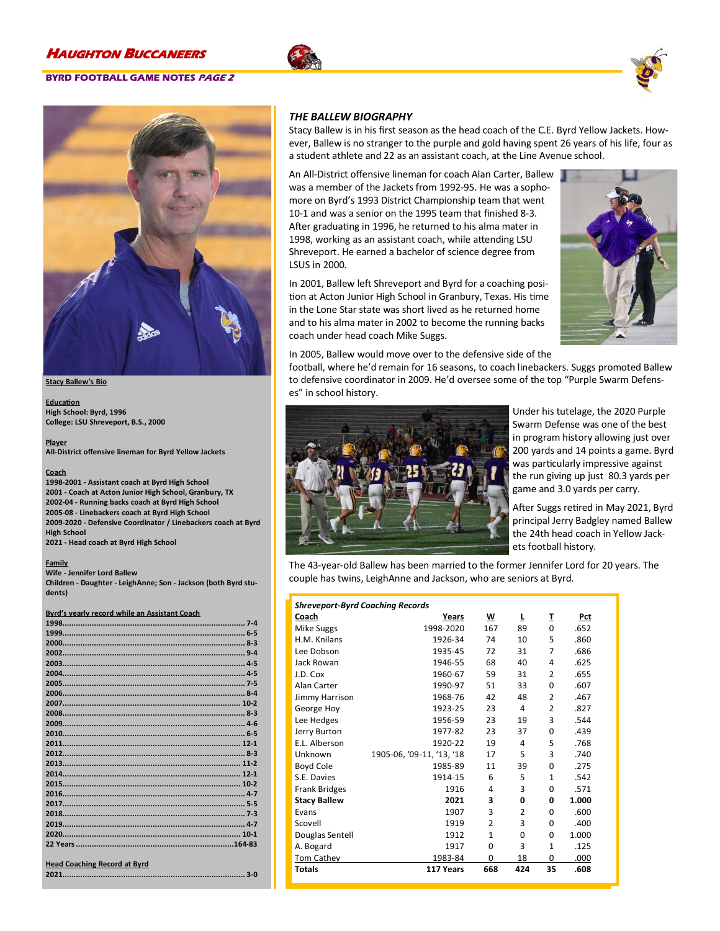### **BYRD FOOTBALL GAME NOTES PAGE 2**







#### **Stacy Ballew's Bio**

**Education High School: Byrd, 1996 College: LSU Shreveport, B.S., 2000**

**Player All-District offensive lineman for Byrd Yellow Jackets**

#### **Coach**

**-2001 - Assistant coach at Byrd High School - Coach at Acton Junior High School, Granbury, TX -04 - Running backs coach at Byrd High School -08 - Linebackers coach at Byrd High School -2020 - Defensive Coordinator / Linebackers coach at Byrd High School**

**2021 - Head coach at Byrd High School**

#### **Family**

**Wife - Jennifer Lord Ballew Children - Daughter - LeighAnne; Son - Jackson (both Byrd students)**

#### **Byrd's yearly record while an Assistant Coach**

| <b>Head Coaching Record at Byrd</b> |  |
|-------------------------------------|--|
|                                     |  |

### *THE BALLEW BIOGRAPHY*

Stacy Ballew is in his first season as the head coach of the C.E. Byrd Yellow Jackets. However, Ballew is no stranger to the purple and gold having spent 26 years of his life, four as a student athlete and 22 as an assistant coach, at the Line Avenue school.

An All-District offensive lineman for coach Alan Carter, Ballew was a member of the Jackets from 1992-95. He was a sophomore on Byrd's 1993 District Championship team that went 10-1 and was a senior on the 1995 team that finished 8-3. After graduating in 1996, he returned to his alma mater in 1998, working as an assistant coach, while attending LSU Shreveport. He earned a bachelor of science degree from LSUS in 2000.

In 2001, Ballew left Shreveport and Byrd for a coaching position at Acton Junior High School in Granbury, Texas. His time in the Lone Star state was short lived as he returned home and to his alma mater in 2002 to become the running backs coach under head coach Mike Suggs.



In 2005, Ballew would move over to the defensive side of the

football, where he'd remain for 16 seasons, to coach linebackers. Suggs promoted Ballew to defensive coordinator in 2009. He'd oversee some of the top "Purple Swarm Defenses" in school history.



Under his tutelage, the 2020 Purple Swarm Defense was one of the best in program history allowing just over 200 yards and 14 points a game. Byrd was particularly impressive against the run giving up just 80.3 yards per game and 3.0 yards per carry.

After Suggs retired in May 2021, Byrd principal Jerry Badgley named Ballew the 24th head coach in Yellow Jackets football history.

The 43-year-old Ballew has been married to the former Jennifer Lord for 20 years. The couple has twins, LeighAnne and Jackson, who are seniors at Byrd.

| <b>Shreveport-Byrd Coaching Records</b> |                           |                |                |                |       |  |
|-----------------------------------------|---------------------------|----------------|----------------|----------------|-------|--|
| Coach                                   | Years                     | w              | L              | I              | Pct   |  |
| Mike Suggs                              | 1998-2020                 | 167            | 89             | $\Omega$       | .652  |  |
| H.M. Knilans                            | 1926-34                   | 74             | 10             | 5              | .860  |  |
| Lee Dobson                              | 1935-45                   | 72             | 31             | 7              | .686  |  |
| Jack Rowan                              | 1946-55                   | 68             | 40             | 4              | .625  |  |
| J.D. Cox                                | 1960-67                   | 59             | 31             | $\overline{2}$ | .655  |  |
| Alan Carter                             | 1990-97                   | 51             | 33             | 0              | .607  |  |
| Jimmy Harrison                          | 1968-76                   | 42             | 48             | $\overline{2}$ | .467  |  |
| George Hoy                              | 1923-25                   | 23             | 4              | $\overline{2}$ | .827  |  |
| Lee Hedges                              | 1956-59                   | 23             | 19             | 3              | .544  |  |
| Jerry Burton                            | 1977-82                   | 23             | 37             | $\Omega$       | .439  |  |
| E.L. Alberson                           | 1920-22                   | 19             | 4              | 5              | .768  |  |
| Unknown                                 | 1905-06, '09-11, '13, '18 | 17             | 5              | 3              | .740  |  |
| Boyd Cole                               | 1985-89                   | 11             | 39             | $\Omega$       | .275  |  |
| S.E. Davies                             | 1914-15                   | 6              | 5              | 1              | .542  |  |
| <b>Frank Bridges</b>                    | 1916                      | 4              | 3              | 0              | .571  |  |
| <b>Stacy Ballew</b>                     | 2021                      | 3              | 0              | 0              | 1.000 |  |
| Evans                                   | 1907                      | 3              | $\overline{2}$ | 0              | .600  |  |
| Scovell                                 | 1919                      | $\overline{2}$ | 3              | 0              | .400  |  |
| Douglas Sentell                         | 1912                      | $\mathbf{1}$   | $\Omega$       | 0              | 1.000 |  |
| A. Bogard                               | 1917                      | 0              | 3              | 1              | .125  |  |
| Tom Cathey                              | 1983-84                   | $\Omega$       | 18             | $\Omega$       | .000  |  |
| <b>Totals</b>                           | 117 Years                 | 668            | 424            | 35             | .608  |  |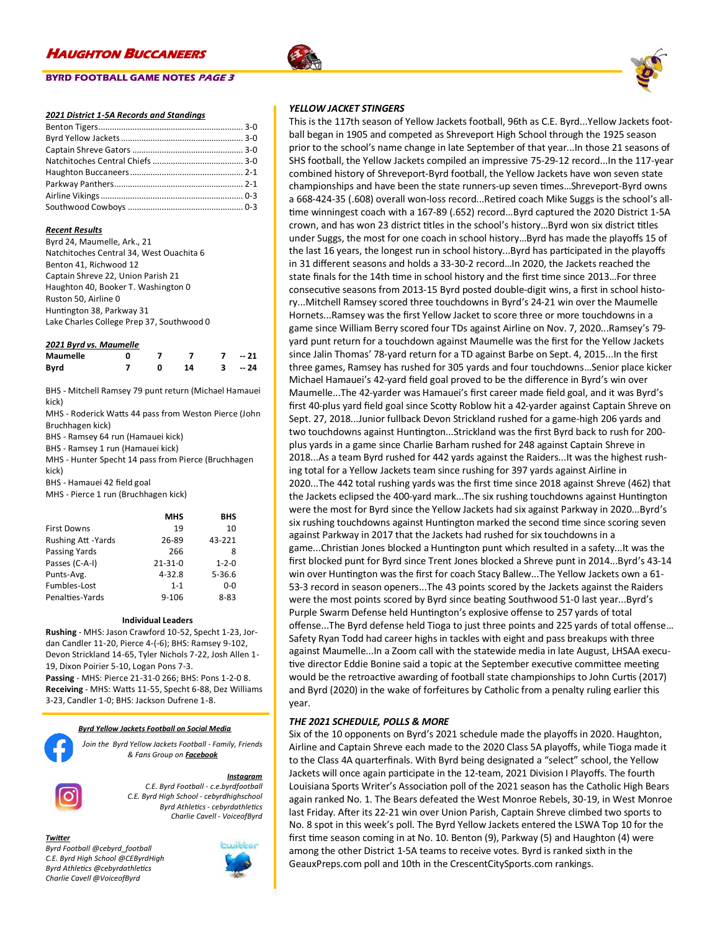### **BYRD FOOTBALL GAME NOTES PAGE 3**

### *2021 District 1-5A Records and Standings*

#### *Recent Results*

| Byrd 24, Maumelle, Ark., 21               |
|-------------------------------------------|
| Natchitoches Central 34, West Ouachita 6  |
| Benton 41, Richwood 12                    |
| Captain Shreve 22, Union Parish 21        |
| Haughton 40, Booker T. Washington 0       |
| Ruston 50, Airline 0                      |
| Huntington 38, Parkway 31                 |
| Lake Charles College Prep 37, Southwood 0 |
|                                           |

#### *2021 Byrd vs. Maumelle*

| <b>Maumelle</b> |  |    | $-21$ |
|-----------------|--|----|-------|
| <b>Byrd</b>     |  | 14 | $-24$ |

BHS - Mitchell Ramsey 79 punt return (Michael Hamauei kick)

MHS - Roderick Watts 44 pass from Weston Pierce (John Bruchhagen kick)

BHS - Ramsey 64 run (Hamauei kick)

BHS - Ramsey 1 run (Hamauei kick)

MHS - Hunter Specht 14 pass from Pierce (Bruchhagen kick)

BHS - Hamauei 42 field goal

MHS - Pierce 1 run (Bruchhagen kick)

|                           | <b>MHS</b>    | <b>BHS</b>  |
|---------------------------|---------------|-------------|
| <b>First Downs</b>        | 19            | 10          |
| <b>Rushing Att -Yards</b> | 26-89         | 43-221      |
| Passing Yards             | 266           | 8           |
| Passes (C-A-I)            | $21 - 31 - 0$ | $1 - 2 - 0$ |
| Punts-Avg.                | $4 - 32.8$    | $5 - 36.6$  |
| Fumbles-Lost              | $1 - 1$       | 0-0         |
| Penalties-Yards           | $9 - 106$     | 8-83        |

#### **Individual Leaders**

**Rushing** - MHS: Jason Crawford 10-52, Specht 1-23, Jordan Candler 11-20, Pierce 4-(-6); BHS: Ramsey 9-102, Devon Strickland 14-65, Tyler Nichols 7-22, Josh Allen 1- 19, Dixon Poirier 5-10, Logan Pons 7-3. **Passing** - MHS: Pierce 21-31-0 266; BHS: Pons 1-2-0 8. **Receiving** - MHS: Watts 11-55, Specht 6-88, Dez Williams 3-23, Candler 1-0; BHS: Jackson Dufrene 1-8.

#### *Byrd Yellow Jackets Football on Social Media*

*Join the Byrd Yellow Jackets Football - Family, Friends & Fans Group on Facebook*

#### *Instagram*

*C.E. Byrd Football - c.e.byrdfootball C.E. Byrd High School - cebyrdhighschool Byrd Athletics - cebyrdathletics Charlie Cavell - VoiceofByrd*

#### *Twitter*

*Byrd Football @cebyrd\_football C.E. Byrd High School @CEByrdHigh Byrd Athletics @cebyrdathletics Charlie Cavell @VoiceofByrd*





This is the 117th season of Yellow Jackets football, 96th as C.E. Byrd...Yellow Jackets football began in 1905 and competed as Shreveport High School through the 1925 season prior to the school's name change in late September of that year...In those 21 seasons of SHS football, the Yellow Jackets compiled an impressive 75-29-12 record...In the 117-year combined history of Shreveport-Byrd football, the Yellow Jackets have won seven state championships and have been the state runners-up seven times…Shreveport-Byrd owns a 668-424-35 (.608) overall won-loss record...Retired coach Mike Suggs is the school's alltime winningest coach with a 167-89 (.652) record...Byrd captured the 2020 District 1-5A crown, and has won 23 district titles in the school's history…Byrd won six district titles under Suggs, the most for one coach in school history…Byrd has made the playoffs 15 of the last 16 years, the longest run in school history...Byrd has participated in the playoffs in 31 different seasons and holds a 33-30-2 record…In 2020, the Jackets reached the state finals for the 14th time in school history and the first time since 2013…For three consecutive seasons from 2013-15 Byrd posted double-digit wins, a first in school history...Mitchell Ramsey scored three touchdowns in Byrd's 24-21 win over the Maumelle Hornets...Ramsey was the first Yellow Jacket to score three or more touchdowns in a game since William Berry scored four TDs against Airline on Nov. 7, 2020...Ramsey's 79 yard punt return for a touchdown against Maumelle was the first for the Yellow Jackets since Jalin Thomas' 78-yard return for a TD against Barbe on Sept. 4, 2015...In the first three games, Ramsey has rushed for 305 yards and four touchdowns…Senior place kicker Michael Hamauei's 42-yard field goal proved to be the difference in Byrd's win over Maumelle...The 42-yarder was Hamauei's first career made field goal, and it was Byrd's first 40-plus yard field goal since Scotty Roblow hit a 42-yarder against Captain Shreve on Sept. 27, 2018...Junior fullback Devon Strickland rushed for a game-high 206 yards and two touchdowns against Huntington...Strickland was the first Byrd back to rush for 200 plus yards in a game since Charlie Barham rushed for 248 against Captain Shreve in 2018...As a team Byrd rushed for 442 yards against the Raiders...It was the highest rushing total for a Yellow Jackets team since rushing for 397 yards against Airline in 2020...The 442 total rushing yards was the first time since 2018 against Shreve (462) that the Jackets eclipsed the 400-yard mark...The six rushing touchdowns against Huntington were the most for Byrd since the Yellow Jackets had six against Parkway in 2020...Byrd's six rushing touchdowns against Huntington marked the second time since scoring seven against Parkway in 2017 that the Jackets had rushed for six touchdowns in a game...Christian Jones blocked a Huntington punt which resulted in a safety...It was the first blocked punt for Byrd since Trent Jones blocked a Shreve punt in 2014...Byrd's 43-14 win over Huntington was the first for coach Stacy Ballew...The Yellow Jackets own a 61- 53-3 record in season openers...The 43 points scored by the Jackets against the Raiders were the most points scored by Byrd since beating Southwood 51-0 last year...Byrd's Purple Swarm Defense held Huntington's explosive offense to 257 yards of total offense...The Byrd defense held Tioga to just three points and 225 yards of total offense… Safety Ryan Todd had career highs in tackles with eight and pass breakups with three against Maumelle...In a Zoom call with the statewide media in late August, LHSAA executive director Eddie Bonine said a topic at the September executive committee meeting would be the retroactive awarding of football state championships to John Curtis (2017) and Byrd (2020) in the wake of forfeitures by Catholic from a penalty ruling earlier this year.

### *THE 2021 SCHEDULE, POLLS & MORE*

Six of the 10 opponents on Byrd's 2021 schedule made the playoffs in 2020. Haughton, Airline and Captain Shreve each made to the 2020 Class 5A playoffs, while Tioga made it to the Class 4A quarterfinals. With Byrd being designated a "select" school, the Yellow Jackets will once again participate in the 12-team, 2021 Division I Playoffs. The fourth Louisiana Sports Writer's Association poll of the 2021 season has the Catholic High Bears again ranked No. 1. The Bears defeated the West Monroe Rebels, 30-19, in West Monroe last Friday. After its 22-21 win over Union Parish, Captain Shreve climbed two sports to No. 8 spot in this week's poll. The Byrd Yellow Jackets entered the LSWA Top 10 for the first time season coming in at No. 10. Benton (9), Parkway (5) and Haughton (4) were among the other District 1-5A teams to receive votes. Byrd is ranked sixth in the GeauxPreps.com poll and 10th in the CrescentCitySports.com rankings.

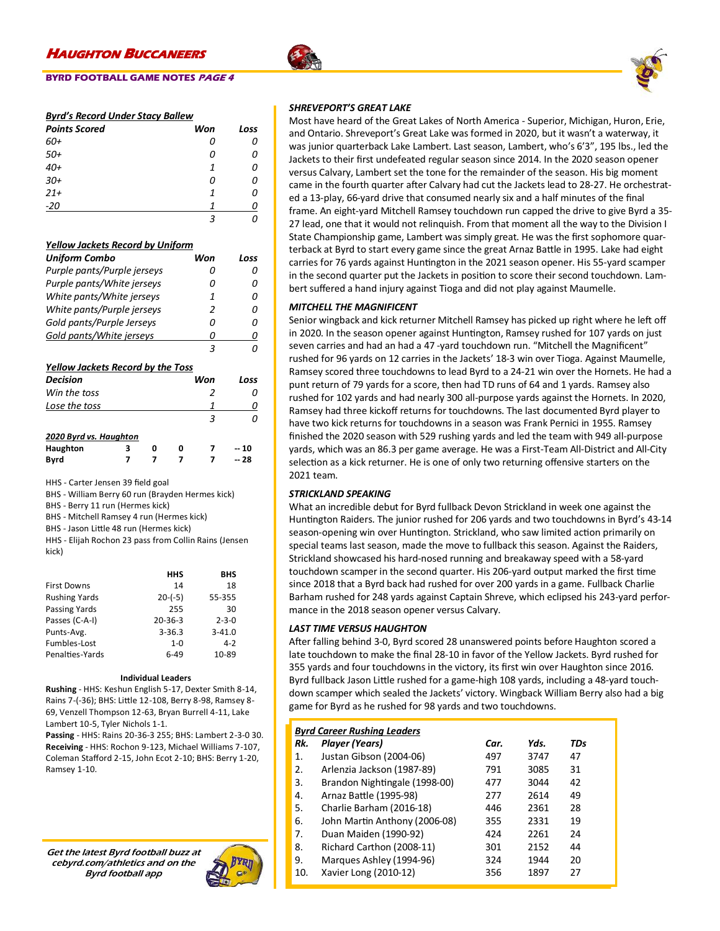### **BYRD FOOTBALL GAME NOTES PAGE 4**

### *Byrd's Record Under Stacy Ballew*

| <b>Points Scored</b> | Won | Loss |
|----------------------|-----|------|
| 60+                  | 0   | 0    |
| $50+$                | 0   | 0    |
| $40+$                | 1   | 0    |
| $30+$                | 0   | 0    |
| $21+$                | 1   | Ω    |
| $-20$                | 1   | n    |
|                      |     |      |

### *Yellow Jackets Record by Uniform*

| <b>Uniform Combo</b>                     | Won | Loss |
|------------------------------------------|-----|------|
| Purple pants/Purple jerseys              | ſ)  |      |
| Purple pants/White jerseys               | Ω   |      |
| White pants/White jerseys                | 1   |      |
| White pants/Purple jerseys               | 2   |      |
| Gold pants/Purple Jerseys                | Ω   |      |
| Gold pants/White jerseys                 | Π   |      |
|                                          | 3   |      |
| <b>Yellow Jackets Record by the Toss</b> |     |      |
| Decision                                 | Won | Loss |
| Win the toss                             | 2   |      |
| Lose the toss                            |     |      |
|                                          |     |      |
|                                          |     |      |

### *2020 Byrd vs. Haughton*

**Haughton 3 0 0 7 -- 10 Byrd 7 7 7 7 -- 28**

HHS - Carter Jensen 39 field goal

BHS - William Berry 60 run (Brayden Hermes kick)

BHS - Berry 11 run (Hermes kick)

BHS - Mitchell Ramsey 4 run (Hermes kick)

BHS - Jason Little 48 run (Hermes kick)

HHS - Elijah Rochon 23 pass from Collin Rains (Jensen kick)

|                      | HHS           | BHS         |
|----------------------|---------------|-------------|
| <b>First Downs</b>   | 14            | 18          |
| <b>Rushing Yards</b> | $20-(-5)$     | 55-355      |
| <b>Passing Yards</b> | 255           | 30          |
| Passes (C-A-I)       | $20 - 36 - 3$ | $2 - 3 - 0$ |
| Punts-Avg.           | $3 - 36.3$    | $3 - 41.0$  |
| Fumbles-Lost         | $1 - 0$       | 4-2         |
| Penalties-Yards      | 6-49          | 10-89       |

#### **Individual Leaders**

**Rushing** - HHS: Keshun English 5-17, Dexter Smith 8-14, Rains 7-(-36); BHS: Little 12-108, Berry 8-98, Ramsey 8- 69, Venzell Thompson 12-63, Bryan Burrell 4-11, Lake Lambert 10-5, Tyler Nichols 1-1.

**Passing** - HHS: Rains 20-36-3 255; BHS: Lambert 2-3-0 30. **Receiving** - HHS: Rochon 9-123, Michael Williams 7-107, Coleman Stafford 2-15, John Ecot 2-10; BHS: Berry 1-20, Ramsey 1-10.

Get the latest Byrd football buzz at cebyrd.com/athletics and on the Byrd football app



### *SHREVEPORT'S GREAT LAKE*

Most have heard of the Great Lakes of North America - Superior, Michigan, Huron, Erie, and Ontario. Shreveport's Great Lake was formed in 2020, but it wasn't a waterway, it was junior quarterback Lake Lambert. Last season, Lambert, who's 6'3", 195 lbs., led the Jackets to their first undefeated regular season since 2014. In the 2020 season opener versus Calvary, Lambert set the tone for the remainder of the season. His big moment came in the fourth quarter after Calvary had cut the Jackets lead to 28-27. He orchestrated a 13-play, 66-yard drive that consumed nearly six and a half minutes of the final frame. An eight-yard Mitchell Ramsey touchdown run capped the drive to give Byrd a 35- 27 lead, one that it would not relinquish. From that moment all the way to the Division I State Championship game, Lambert was simply great. He was the first sophomore quarterback at Byrd to start every game since the great Arnaz Battle in 1995. Lake had eight carries for 76 yards against Huntington in the 2021 season opener. His 55-yard scamper in the second quarter put the Jackets in position to score their second touchdown. Lambert suffered a hand injury against Tioga and did not play against Maumelle.

### *MITCHELL THE MAGNIFICENT*

Senior wingback and kick returner Mitchell Ramsey has picked up right where he left off in 2020. In the season opener against Huntington, Ramsey rushed for 107 yards on just seven carries and had an had a 47 -yard touchdown run. "Mitchell the Magnificent" rushed for 96 yards on 12 carries in the Jackets' 18-3 win over Tioga. Against Maumelle, Ramsey scored three touchdowns to lead Byrd to a 24-21 win over the Hornets. He had a punt return of 79 yards for a score, then had TD runs of 64 and 1 yards. Ramsey also rushed for 102 yards and had nearly 300 all-purpose yards against the Hornets. In 2020, Ramsey had three kickoff returns for touchdowns. The last documented Byrd player to have two kick returns for touchdowns in a season was Frank Pernici in 1955. Ramsey finished the 2020 season with 529 rushing yards and led the team with 949 all-purpose yards, which was an 86.3 per game average. He was a First-Team All-District and All-City selection as a kick returner. He is one of only two returning offensive starters on the 2021 team.

### *STRICKLAND SPEAKING*

What an incredible debut for Byrd fullback Devon Strickland in week one against the Huntington Raiders. The junior rushed for 206 yards and two touchdowns in Byrd's 43-14 season-opening win over Huntington. Strickland, who saw limited action primarily on special teams last season, made the move to fullback this season. Against the Raiders, Strickland showcased his hard-nosed running and breakaway speed with a 58-yard touchdown scamper in the second quarter. His 206-yard output marked the first time since 2018 that a Byrd back had rushed for over 200 yards in a game. Fullback Charlie Barham rushed for 248 yards against Captain Shreve, which eclipsed his 243-yard performance in the 2018 season opener versus Calvary.

### *LAST TIME VERSUS HAUGHTON*

After falling behind 3-0, Byrd scored 28 unanswered points before Haughton scored a late touchdown to make the final 28-10 in favor of the Yellow Jackets. Byrd rushed for 355 yards and four touchdowns in the victory, its first win over Haughton since 2016. Byrd fullback Jason Little rushed for a game-high 108 yards, including a 48-yard touchdown scamper which sealed the Jackets' victory. Wingback William Berry also had a big game for Byrd as he rushed for 98 yards and two touchdowns.

|  | <b>Byrd Career Rushina Leaders</b> |  |
|--|------------------------------------|--|
|  |                                    |  |

| Rk. | Player (Years)                | Car. | Yds. | TDs |
|-----|-------------------------------|------|------|-----|
| 1.  | Justan Gibson (2004-06)       | 497  | 3747 | 47  |
| 2.  | Arlenzia Jackson (1987-89)    | 791  | 3085 | 31  |
| 3.  | Brandon Nightingale (1998-00) | 477  | 3044 | 42  |
| 4.  | Arnaz Battle (1995-98)        | 277  | 2614 | 49  |
| 5.  | Charlie Barham (2016-18)      | 446  | 2361 | 28  |
| 6.  | John Martin Anthony (2006-08) | 355  | 2331 | 19  |
| 7.  | Duan Maiden (1990-92)         | 424  | 2261 | 24  |
| 8.  | Richard Carthon (2008-11)     | 301  | 2152 | 44  |
| 9.  | Marques Ashley (1994-96)      | 324  | 1944 | 20  |
| 10. | Xavier Long (2010-12)         | 356  | 1897 | 27  |

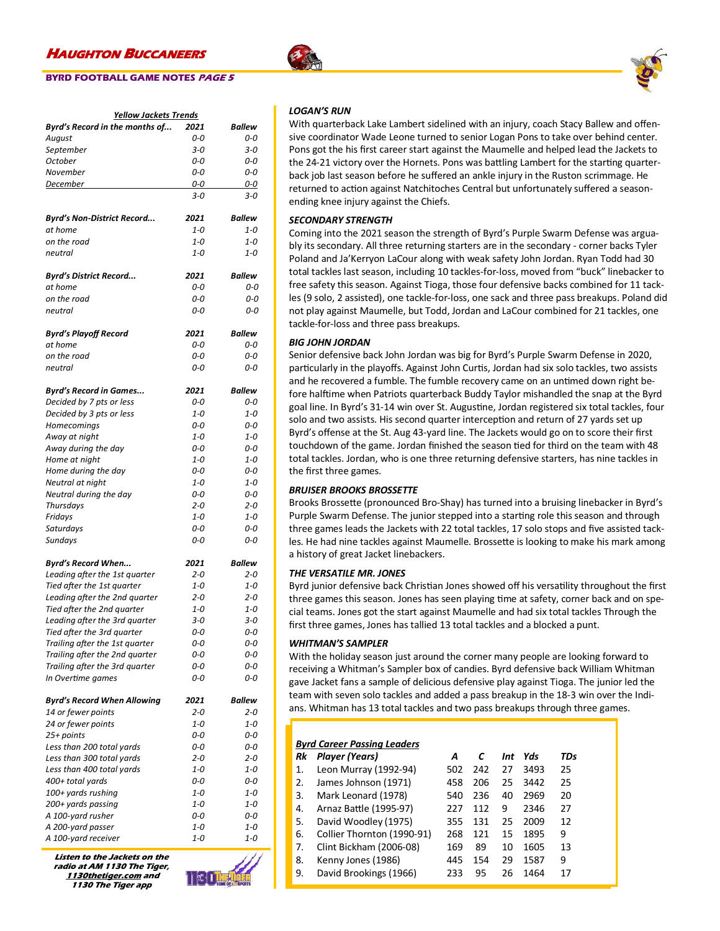### **BYRD FOOTBALL GAME NOTES PAGE 5**

| Byrd's Record in the months of<br>Ballew<br>2021<br>0-0<br>0-0<br>August<br>$3 - 0$<br>September<br>$3 - 0$<br>$0-0$<br>October<br>0-0<br>November<br>0-0<br>0-0<br>December<br>0-0<br>0-0<br>3-0<br>3-0<br><b>Ballew</b><br>Byrd's Non-District Record<br>2021<br>at home<br>$1 - 0$<br>$1 - 0$<br>on the road<br>$1 - 0$<br>$1 - 0$<br>$1 - 0$<br>neutral<br>1-0<br><b>Ballew</b><br><b>Byrd's District Record</b><br>2021<br>at home<br>0-0<br>0-0<br>on the road<br>0-0<br>0-0<br>neutral<br>0-0<br>0-0<br><b>Byrd's Playoff Record</b><br>2021<br>Ballew<br>at home<br>$0-0$<br>0-0<br>on the road<br>0-0<br>0-0<br>neutral<br>0-0<br>$O-O$<br><b>Byrd's Record in Games</b><br>2021<br>Ballew<br>0-0<br>Decided by 7 pts or less<br>$0 - 0$<br>Decided by 3 pts or less<br>$1 - 0$<br>$1 - 0$<br>0-0<br>Homecomings<br>0-0<br>$1 - 0$<br>$1 - 0$<br>Away at night<br>Away during the day<br>0-0<br>0-0<br>$1 - 0$<br>Home at night<br>$1 - 0$<br>0-0<br>Home during the day<br>0-0<br>Neutral at night<br>$1 - 0$<br>1-0<br>0-0<br>Neutral during the day<br>0-0<br>$2 - 0$<br>$2 - 0$<br>Thursdays<br>$1 - 0$<br>Fridays<br>$1 - 0$<br>Saturdays<br>0-0<br>0-0<br>Sundays<br>0-0<br>0-0<br><b>Ballew</b><br><b>Byrd's Record When</b><br>2021<br>Leading after the 1st quarter<br>$2 - 0$<br>$2 - 0$<br>Tied after the 1st quarter<br>$1 - 0$<br>$1 - 0$<br>Leading after the 2nd quarter<br>$2 - 0$<br>$2 - 0$<br>Tied after the 2nd quarter<br>$1 - 0$<br>$1 - 0$<br>Leading after the 3rd quarter<br>$3 - 0$<br>$3 - 0$<br>Tied after the 3rd quarter<br>0-0<br>0-0<br>Trailing after the 1st quarter<br>0-0<br>0-0<br>Trailing after the 2nd quarter<br>$0 - 0$<br>0-0<br>Trailing after the 3rd quarter<br>0-0<br>0-0<br>In Overtime games<br>0-0<br>0-0<br><b>Byrd's Record When Allowing</b><br>2021<br><b>Ballew</b><br>$2 - 0$<br>14 or fewer points<br>$2 - 0$<br>24 or fewer points<br>$1 - 0$<br>1-0<br>25+ points<br>0-0<br>0-0<br>Less than 200 total yards<br>0-0<br>0-0<br>Less than 300 total yards<br>$2 - 0$<br>$2 - 0$<br>Less than 400 total yards<br>1-0<br>$1 - 0$<br>400+ total yards<br>0-0<br>0-0<br>100+ yards rushing<br>$1 - 0$<br>1-0<br>200+ yards passing<br>$1 - 0$<br>1-0<br>A 100-yard rusher<br>0-0<br>0-0<br>A 200-yard passer<br>1-0<br>1-0<br>A 100-yard receiver<br>$1 - 0$<br>$1 - 0$ | <b>Yellow Jackets Trends</b> |  |  |  |
|---------------------------------------------------------------------------------------------------------------------------------------------------------------------------------------------------------------------------------------------------------------------------------------------------------------------------------------------------------------------------------------------------------------------------------------------------------------------------------------------------------------------------------------------------------------------------------------------------------------------------------------------------------------------------------------------------------------------------------------------------------------------------------------------------------------------------------------------------------------------------------------------------------------------------------------------------------------------------------------------------------------------------------------------------------------------------------------------------------------------------------------------------------------------------------------------------------------------------------------------------------------------------------------------------------------------------------------------------------------------------------------------------------------------------------------------------------------------------------------------------------------------------------------------------------------------------------------------------------------------------------------------------------------------------------------------------------------------------------------------------------------------------------------------------------------------------------------------------------------------------------------------------------------------------------------------------------------------------------------------------------------------------------------------------------------------------------------------------------------------------------------------------------------------------------------------------------------------------------------------------------------------------------------------------------------------------------------|------------------------------|--|--|--|
|                                                                                                                                                                                                                                                                                                                                                                                                                                                                                                                                                                                                                                                                                                                                                                                                                                                                                                                                                                                                                                                                                                                                                                                                                                                                                                                                                                                                                                                                                                                                                                                                                                                                                                                                                                                                                                                                                                                                                                                                                                                                                                                                                                                                                                                                                                                                       |                              |  |  |  |
|                                                                                                                                                                                                                                                                                                                                                                                                                                                                                                                                                                                                                                                                                                                                                                                                                                                                                                                                                                                                                                                                                                                                                                                                                                                                                                                                                                                                                                                                                                                                                                                                                                                                                                                                                                                                                                                                                                                                                                                                                                                                                                                                                                                                                                                                                                                                       |                              |  |  |  |
|                                                                                                                                                                                                                                                                                                                                                                                                                                                                                                                                                                                                                                                                                                                                                                                                                                                                                                                                                                                                                                                                                                                                                                                                                                                                                                                                                                                                                                                                                                                                                                                                                                                                                                                                                                                                                                                                                                                                                                                                                                                                                                                                                                                                                                                                                                                                       |                              |  |  |  |
|                                                                                                                                                                                                                                                                                                                                                                                                                                                                                                                                                                                                                                                                                                                                                                                                                                                                                                                                                                                                                                                                                                                                                                                                                                                                                                                                                                                                                                                                                                                                                                                                                                                                                                                                                                                                                                                                                                                                                                                                                                                                                                                                                                                                                                                                                                                                       |                              |  |  |  |
|                                                                                                                                                                                                                                                                                                                                                                                                                                                                                                                                                                                                                                                                                                                                                                                                                                                                                                                                                                                                                                                                                                                                                                                                                                                                                                                                                                                                                                                                                                                                                                                                                                                                                                                                                                                                                                                                                                                                                                                                                                                                                                                                                                                                                                                                                                                                       |                              |  |  |  |
|                                                                                                                                                                                                                                                                                                                                                                                                                                                                                                                                                                                                                                                                                                                                                                                                                                                                                                                                                                                                                                                                                                                                                                                                                                                                                                                                                                                                                                                                                                                                                                                                                                                                                                                                                                                                                                                                                                                                                                                                                                                                                                                                                                                                                                                                                                                                       |                              |  |  |  |
|                                                                                                                                                                                                                                                                                                                                                                                                                                                                                                                                                                                                                                                                                                                                                                                                                                                                                                                                                                                                                                                                                                                                                                                                                                                                                                                                                                                                                                                                                                                                                                                                                                                                                                                                                                                                                                                                                                                                                                                                                                                                                                                                                                                                                                                                                                                                       |                              |  |  |  |
|                                                                                                                                                                                                                                                                                                                                                                                                                                                                                                                                                                                                                                                                                                                                                                                                                                                                                                                                                                                                                                                                                                                                                                                                                                                                                                                                                                                                                                                                                                                                                                                                                                                                                                                                                                                                                                                                                                                                                                                                                                                                                                                                                                                                                                                                                                                                       |                              |  |  |  |
|                                                                                                                                                                                                                                                                                                                                                                                                                                                                                                                                                                                                                                                                                                                                                                                                                                                                                                                                                                                                                                                                                                                                                                                                                                                                                                                                                                                                                                                                                                                                                                                                                                                                                                                                                                                                                                                                                                                                                                                                                                                                                                                                                                                                                                                                                                                                       |                              |  |  |  |
|                                                                                                                                                                                                                                                                                                                                                                                                                                                                                                                                                                                                                                                                                                                                                                                                                                                                                                                                                                                                                                                                                                                                                                                                                                                                                                                                                                                                                                                                                                                                                                                                                                                                                                                                                                                                                                                                                                                                                                                                                                                                                                                                                                                                                                                                                                                                       |                              |  |  |  |
|                                                                                                                                                                                                                                                                                                                                                                                                                                                                                                                                                                                                                                                                                                                                                                                                                                                                                                                                                                                                                                                                                                                                                                                                                                                                                                                                                                                                                                                                                                                                                                                                                                                                                                                                                                                                                                                                                                                                                                                                                                                                                                                                                                                                                                                                                                                                       |                              |  |  |  |
|                                                                                                                                                                                                                                                                                                                                                                                                                                                                                                                                                                                                                                                                                                                                                                                                                                                                                                                                                                                                                                                                                                                                                                                                                                                                                                                                                                                                                                                                                                                                                                                                                                                                                                                                                                                                                                                                                                                                                                                                                                                                                                                                                                                                                                                                                                                                       |                              |  |  |  |
|                                                                                                                                                                                                                                                                                                                                                                                                                                                                                                                                                                                                                                                                                                                                                                                                                                                                                                                                                                                                                                                                                                                                                                                                                                                                                                                                                                                                                                                                                                                                                                                                                                                                                                                                                                                                                                                                                                                                                                                                                                                                                                                                                                                                                                                                                                                                       |                              |  |  |  |
|                                                                                                                                                                                                                                                                                                                                                                                                                                                                                                                                                                                                                                                                                                                                                                                                                                                                                                                                                                                                                                                                                                                                                                                                                                                                                                                                                                                                                                                                                                                                                                                                                                                                                                                                                                                                                                                                                                                                                                                                                                                                                                                                                                                                                                                                                                                                       |                              |  |  |  |
|                                                                                                                                                                                                                                                                                                                                                                                                                                                                                                                                                                                                                                                                                                                                                                                                                                                                                                                                                                                                                                                                                                                                                                                                                                                                                                                                                                                                                                                                                                                                                                                                                                                                                                                                                                                                                                                                                                                                                                                                                                                                                                                                                                                                                                                                                                                                       |                              |  |  |  |
|                                                                                                                                                                                                                                                                                                                                                                                                                                                                                                                                                                                                                                                                                                                                                                                                                                                                                                                                                                                                                                                                                                                                                                                                                                                                                                                                                                                                                                                                                                                                                                                                                                                                                                                                                                                                                                                                                                                                                                                                                                                                                                                                                                                                                                                                                                                                       |                              |  |  |  |
|                                                                                                                                                                                                                                                                                                                                                                                                                                                                                                                                                                                                                                                                                                                                                                                                                                                                                                                                                                                                                                                                                                                                                                                                                                                                                                                                                                                                                                                                                                                                                                                                                                                                                                                                                                                                                                                                                                                                                                                                                                                                                                                                                                                                                                                                                                                                       |                              |  |  |  |
|                                                                                                                                                                                                                                                                                                                                                                                                                                                                                                                                                                                                                                                                                                                                                                                                                                                                                                                                                                                                                                                                                                                                                                                                                                                                                                                                                                                                                                                                                                                                                                                                                                                                                                                                                                                                                                                                                                                                                                                                                                                                                                                                                                                                                                                                                                                                       |                              |  |  |  |
|                                                                                                                                                                                                                                                                                                                                                                                                                                                                                                                                                                                                                                                                                                                                                                                                                                                                                                                                                                                                                                                                                                                                                                                                                                                                                                                                                                                                                                                                                                                                                                                                                                                                                                                                                                                                                                                                                                                                                                                                                                                                                                                                                                                                                                                                                                                                       |                              |  |  |  |
|                                                                                                                                                                                                                                                                                                                                                                                                                                                                                                                                                                                                                                                                                                                                                                                                                                                                                                                                                                                                                                                                                                                                                                                                                                                                                                                                                                                                                                                                                                                                                                                                                                                                                                                                                                                                                                                                                                                                                                                                                                                                                                                                                                                                                                                                                                                                       |                              |  |  |  |
|                                                                                                                                                                                                                                                                                                                                                                                                                                                                                                                                                                                                                                                                                                                                                                                                                                                                                                                                                                                                                                                                                                                                                                                                                                                                                                                                                                                                                                                                                                                                                                                                                                                                                                                                                                                                                                                                                                                                                                                                                                                                                                                                                                                                                                                                                                                                       |                              |  |  |  |
|                                                                                                                                                                                                                                                                                                                                                                                                                                                                                                                                                                                                                                                                                                                                                                                                                                                                                                                                                                                                                                                                                                                                                                                                                                                                                                                                                                                                                                                                                                                                                                                                                                                                                                                                                                                                                                                                                                                                                                                                                                                                                                                                                                                                                                                                                                                                       |                              |  |  |  |
|                                                                                                                                                                                                                                                                                                                                                                                                                                                                                                                                                                                                                                                                                                                                                                                                                                                                                                                                                                                                                                                                                                                                                                                                                                                                                                                                                                                                                                                                                                                                                                                                                                                                                                                                                                                                                                                                                                                                                                                                                                                                                                                                                                                                                                                                                                                                       |                              |  |  |  |
|                                                                                                                                                                                                                                                                                                                                                                                                                                                                                                                                                                                                                                                                                                                                                                                                                                                                                                                                                                                                                                                                                                                                                                                                                                                                                                                                                                                                                                                                                                                                                                                                                                                                                                                                                                                                                                                                                                                                                                                                                                                                                                                                                                                                                                                                                                                                       |                              |  |  |  |
|                                                                                                                                                                                                                                                                                                                                                                                                                                                                                                                                                                                                                                                                                                                                                                                                                                                                                                                                                                                                                                                                                                                                                                                                                                                                                                                                                                                                                                                                                                                                                                                                                                                                                                                                                                                                                                                                                                                                                                                                                                                                                                                                                                                                                                                                                                                                       |                              |  |  |  |
|                                                                                                                                                                                                                                                                                                                                                                                                                                                                                                                                                                                                                                                                                                                                                                                                                                                                                                                                                                                                                                                                                                                                                                                                                                                                                                                                                                                                                                                                                                                                                                                                                                                                                                                                                                                                                                                                                                                                                                                                                                                                                                                                                                                                                                                                                                                                       |                              |  |  |  |
|                                                                                                                                                                                                                                                                                                                                                                                                                                                                                                                                                                                                                                                                                                                                                                                                                                                                                                                                                                                                                                                                                                                                                                                                                                                                                                                                                                                                                                                                                                                                                                                                                                                                                                                                                                                                                                                                                                                                                                                                                                                                                                                                                                                                                                                                                                                                       |                              |  |  |  |
|                                                                                                                                                                                                                                                                                                                                                                                                                                                                                                                                                                                                                                                                                                                                                                                                                                                                                                                                                                                                                                                                                                                                                                                                                                                                                                                                                                                                                                                                                                                                                                                                                                                                                                                                                                                                                                                                                                                                                                                                                                                                                                                                                                                                                                                                                                                                       |                              |  |  |  |
|                                                                                                                                                                                                                                                                                                                                                                                                                                                                                                                                                                                                                                                                                                                                                                                                                                                                                                                                                                                                                                                                                                                                                                                                                                                                                                                                                                                                                                                                                                                                                                                                                                                                                                                                                                                                                                                                                                                                                                                                                                                                                                                                                                                                                                                                                                                                       |                              |  |  |  |
|                                                                                                                                                                                                                                                                                                                                                                                                                                                                                                                                                                                                                                                                                                                                                                                                                                                                                                                                                                                                                                                                                                                                                                                                                                                                                                                                                                                                                                                                                                                                                                                                                                                                                                                                                                                                                                                                                                                                                                                                                                                                                                                                                                                                                                                                                                                                       |                              |  |  |  |
|                                                                                                                                                                                                                                                                                                                                                                                                                                                                                                                                                                                                                                                                                                                                                                                                                                                                                                                                                                                                                                                                                                                                                                                                                                                                                                                                                                                                                                                                                                                                                                                                                                                                                                                                                                                                                                                                                                                                                                                                                                                                                                                                                                                                                                                                                                                                       |                              |  |  |  |
|                                                                                                                                                                                                                                                                                                                                                                                                                                                                                                                                                                                                                                                                                                                                                                                                                                                                                                                                                                                                                                                                                                                                                                                                                                                                                                                                                                                                                                                                                                                                                                                                                                                                                                                                                                                                                                                                                                                                                                                                                                                                                                                                                                                                                                                                                                                                       |                              |  |  |  |
|                                                                                                                                                                                                                                                                                                                                                                                                                                                                                                                                                                                                                                                                                                                                                                                                                                                                                                                                                                                                                                                                                                                                                                                                                                                                                                                                                                                                                                                                                                                                                                                                                                                                                                                                                                                                                                                                                                                                                                                                                                                                                                                                                                                                                                                                                                                                       |                              |  |  |  |
|                                                                                                                                                                                                                                                                                                                                                                                                                                                                                                                                                                                                                                                                                                                                                                                                                                                                                                                                                                                                                                                                                                                                                                                                                                                                                                                                                                                                                                                                                                                                                                                                                                                                                                                                                                                                                                                                                                                                                                                                                                                                                                                                                                                                                                                                                                                                       |                              |  |  |  |
|                                                                                                                                                                                                                                                                                                                                                                                                                                                                                                                                                                                                                                                                                                                                                                                                                                                                                                                                                                                                                                                                                                                                                                                                                                                                                                                                                                                                                                                                                                                                                                                                                                                                                                                                                                                                                                                                                                                                                                                                                                                                                                                                                                                                                                                                                                                                       |                              |  |  |  |
|                                                                                                                                                                                                                                                                                                                                                                                                                                                                                                                                                                                                                                                                                                                                                                                                                                                                                                                                                                                                                                                                                                                                                                                                                                                                                                                                                                                                                                                                                                                                                                                                                                                                                                                                                                                                                                                                                                                                                                                                                                                                                                                                                                                                                                                                                                                                       |                              |  |  |  |
|                                                                                                                                                                                                                                                                                                                                                                                                                                                                                                                                                                                                                                                                                                                                                                                                                                                                                                                                                                                                                                                                                                                                                                                                                                                                                                                                                                                                                                                                                                                                                                                                                                                                                                                                                                                                                                                                                                                                                                                                                                                                                                                                                                                                                                                                                                                                       |                              |  |  |  |
|                                                                                                                                                                                                                                                                                                                                                                                                                                                                                                                                                                                                                                                                                                                                                                                                                                                                                                                                                                                                                                                                                                                                                                                                                                                                                                                                                                                                                                                                                                                                                                                                                                                                                                                                                                                                                                                                                                                                                                                                                                                                                                                                                                                                                                                                                                                                       |                              |  |  |  |
|                                                                                                                                                                                                                                                                                                                                                                                                                                                                                                                                                                                                                                                                                                                                                                                                                                                                                                                                                                                                                                                                                                                                                                                                                                                                                                                                                                                                                                                                                                                                                                                                                                                                                                                                                                                                                                                                                                                                                                                                                                                                                                                                                                                                                                                                                                                                       |                              |  |  |  |
|                                                                                                                                                                                                                                                                                                                                                                                                                                                                                                                                                                                                                                                                                                                                                                                                                                                                                                                                                                                                                                                                                                                                                                                                                                                                                                                                                                                                                                                                                                                                                                                                                                                                                                                                                                                                                                                                                                                                                                                                                                                                                                                                                                                                                                                                                                                                       |                              |  |  |  |
|                                                                                                                                                                                                                                                                                                                                                                                                                                                                                                                                                                                                                                                                                                                                                                                                                                                                                                                                                                                                                                                                                                                                                                                                                                                                                                                                                                                                                                                                                                                                                                                                                                                                                                                                                                                                                                                                                                                                                                                                                                                                                                                                                                                                                                                                                                                                       |                              |  |  |  |
|                                                                                                                                                                                                                                                                                                                                                                                                                                                                                                                                                                                                                                                                                                                                                                                                                                                                                                                                                                                                                                                                                                                                                                                                                                                                                                                                                                                                                                                                                                                                                                                                                                                                                                                                                                                                                                                                                                                                                                                                                                                                                                                                                                                                                                                                                                                                       |                              |  |  |  |
|                                                                                                                                                                                                                                                                                                                                                                                                                                                                                                                                                                                                                                                                                                                                                                                                                                                                                                                                                                                                                                                                                                                                                                                                                                                                                                                                                                                                                                                                                                                                                                                                                                                                                                                                                                                                                                                                                                                                                                                                                                                                                                                                                                                                                                                                                                                                       |                              |  |  |  |
|                                                                                                                                                                                                                                                                                                                                                                                                                                                                                                                                                                                                                                                                                                                                                                                                                                                                                                                                                                                                                                                                                                                                                                                                                                                                                                                                                                                                                                                                                                                                                                                                                                                                                                                                                                                                                                                                                                                                                                                                                                                                                                                                                                                                                                                                                                                                       |                              |  |  |  |
|                                                                                                                                                                                                                                                                                                                                                                                                                                                                                                                                                                                                                                                                                                                                                                                                                                                                                                                                                                                                                                                                                                                                                                                                                                                                                                                                                                                                                                                                                                                                                                                                                                                                                                                                                                                                                                                                                                                                                                                                                                                                                                                                                                                                                                                                                                                                       |                              |  |  |  |
|                                                                                                                                                                                                                                                                                                                                                                                                                                                                                                                                                                                                                                                                                                                                                                                                                                                                                                                                                                                                                                                                                                                                                                                                                                                                                                                                                                                                                                                                                                                                                                                                                                                                                                                                                                                                                                                                                                                                                                                                                                                                                                                                                                                                                                                                                                                                       |                              |  |  |  |
|                                                                                                                                                                                                                                                                                                                                                                                                                                                                                                                                                                                                                                                                                                                                                                                                                                                                                                                                                                                                                                                                                                                                                                                                                                                                                                                                                                                                                                                                                                                                                                                                                                                                                                                                                                                                                                                                                                                                                                                                                                                                                                                                                                                                                                                                                                                                       |                              |  |  |  |
|                                                                                                                                                                                                                                                                                                                                                                                                                                                                                                                                                                                                                                                                                                                                                                                                                                                                                                                                                                                                                                                                                                                                                                                                                                                                                                                                                                                                                                                                                                                                                                                                                                                                                                                                                                                                                                                                                                                                                                                                                                                                                                                                                                                                                                                                                                                                       |                              |  |  |  |
|                                                                                                                                                                                                                                                                                                                                                                                                                                                                                                                                                                                                                                                                                                                                                                                                                                                                                                                                                                                                                                                                                                                                                                                                                                                                                                                                                                                                                                                                                                                                                                                                                                                                                                                                                                                                                                                                                                                                                                                                                                                                                                                                                                                                                                                                                                                                       |                              |  |  |  |
|                                                                                                                                                                                                                                                                                                                                                                                                                                                                                                                                                                                                                                                                                                                                                                                                                                                                                                                                                                                                                                                                                                                                                                                                                                                                                                                                                                                                                                                                                                                                                                                                                                                                                                                                                                                                                                                                                                                                                                                                                                                                                                                                                                                                                                                                                                                                       |                              |  |  |  |
|                                                                                                                                                                                                                                                                                                                                                                                                                                                                                                                                                                                                                                                                                                                                                                                                                                                                                                                                                                                                                                                                                                                                                                                                                                                                                                                                                                                                                                                                                                                                                                                                                                                                                                                                                                                                                                                                                                                                                                                                                                                                                                                                                                                                                                                                                                                                       |                              |  |  |  |
|                                                                                                                                                                                                                                                                                                                                                                                                                                                                                                                                                                                                                                                                                                                                                                                                                                                                                                                                                                                                                                                                                                                                                                                                                                                                                                                                                                                                                                                                                                                                                                                                                                                                                                                                                                                                                                                                                                                                                                                                                                                                                                                                                                                                                                                                                                                                       |                              |  |  |  |
|                                                                                                                                                                                                                                                                                                                                                                                                                                                                                                                                                                                                                                                                                                                                                                                                                                                                                                                                                                                                                                                                                                                                                                                                                                                                                                                                                                                                                                                                                                                                                                                                                                                                                                                                                                                                                                                                                                                                                                                                                                                                                                                                                                                                                                                                                                                                       |                              |  |  |  |
|                                                                                                                                                                                                                                                                                                                                                                                                                                                                                                                                                                                                                                                                                                                                                                                                                                                                                                                                                                                                                                                                                                                                                                                                                                                                                                                                                                                                                                                                                                                                                                                                                                                                                                                                                                                                                                                                                                                                                                                                                                                                                                                                                                                                                                                                                                                                       |                              |  |  |  |
|                                                                                                                                                                                                                                                                                                                                                                                                                                                                                                                                                                                                                                                                                                                                                                                                                                                                                                                                                                                                                                                                                                                                                                                                                                                                                                                                                                                                                                                                                                                                                                                                                                                                                                                                                                                                                                                                                                                                                                                                                                                                                                                                                                                                                                                                                                                                       |                              |  |  |  |
|                                                                                                                                                                                                                                                                                                                                                                                                                                                                                                                                                                                                                                                                                                                                                                                                                                                                                                                                                                                                                                                                                                                                                                                                                                                                                                                                                                                                                                                                                                                                                                                                                                                                                                                                                                                                                                                                                                                                                                                                                                                                                                                                                                                                                                                                                                                                       |                              |  |  |  |
|                                                                                                                                                                                                                                                                                                                                                                                                                                                                                                                                                                                                                                                                                                                                                                                                                                                                                                                                                                                                                                                                                                                                                                                                                                                                                                                                                                                                                                                                                                                                                                                                                                                                                                                                                                                                                                                                                                                                                                                                                                                                                                                                                                                                                                                                                                                                       |                              |  |  |  |
|                                                                                                                                                                                                                                                                                                                                                                                                                                                                                                                                                                                                                                                                                                                                                                                                                                                                                                                                                                                                                                                                                                                                                                                                                                                                                                                                                                                                                                                                                                                                                                                                                                                                                                                                                                                                                                                                                                                                                                                                                                                                                                                                                                                                                                                                                                                                       |                              |  |  |  |
|                                                                                                                                                                                                                                                                                                                                                                                                                                                                                                                                                                                                                                                                                                                                                                                                                                                                                                                                                                                                                                                                                                                                                                                                                                                                                                                                                                                                                                                                                                                                                                                                                                                                                                                                                                                                                                                                                                                                                                                                                                                                                                                                                                                                                                                                                                                                       |                              |  |  |  |
|                                                                                                                                                                                                                                                                                                                                                                                                                                                                                                                                                                                                                                                                                                                                                                                                                                                                                                                                                                                                                                                                                                                                                                                                                                                                                                                                                                                                                                                                                                                                                                                                                                                                                                                                                                                                                                                                                                                                                                                                                                                                                                                                                                                                                                                                                                                                       |                              |  |  |  |
|                                                                                                                                                                                                                                                                                                                                                                                                                                                                                                                                                                                                                                                                                                                                                                                                                                                                                                                                                                                                                                                                                                                                                                                                                                                                                                                                                                                                                                                                                                                                                                                                                                                                                                                                                                                                                                                                                                                                                                                                                                                                                                                                                                                                                                                                                                                                       |                              |  |  |  |

**Listen to the Jackets on the radio at AM 1130 The Tiger, 1130thetiger.com and 1130 The Tiger app**





### *LOGAN'S RUN*

With quarterback Lake Lambert sidelined with an injury, coach Stacy Ballew and offensive coordinator Wade Leone turned to senior Logan Pons to take over behind center. Pons got the his first career start against the Maumelle and helped lead the Jackets to the 24-21 victory over the Hornets. Pons was battling Lambert for the starting quarterback job last season before he suffered an ankle injury in the Ruston scrimmage. He returned to action against Natchitoches Central but unfortunately suffered a seasonending knee injury against the Chiefs.

### *SECONDARY STRENGTH*

Coming into the 2021 season the strength of Byrd's Purple Swarm Defense was arguably its secondary. All three returning starters are in the secondary - corner backs Tyler Poland and Ja'Kerryon LaCour along with weak safety John Jordan. Ryan Todd had 30 total tackles last season, including 10 tackles-for-loss, moved from "buck" linebacker to free safety this season. Against Tioga, those four defensive backs combined for 11 tackles (9 solo, 2 assisted), one tackle-for-loss, one sack and three pass breakups. Poland did not play against Maumelle, but Todd, Jordan and LaCour combined for 21 tackles, one tackle-for-loss and three pass breakups.

### *BIG JOHN JORDAN*

Senior defensive back John Jordan was big for Byrd's Purple Swarm Defense in 2020, particularly in the playoffs. Against John Curtis, Jordan had six solo tackles, two assists and he recovered a fumble. The fumble recovery came on an untimed down right before halftime when Patriots quarterback Buddy Taylor mishandled the snap at the Byrd goal line. In Byrd's 31-14 win over St. Augustine, Jordan registered six total tackles, four solo and two assists. His second quarter interception and return of 27 yards set up Byrd's offense at the St. Aug 43-yard line. The Jackets would go on to score their first touchdown of the game. Jordan finished the season tied for third on the team with 48 total tackles. Jordan, who is one three returning defensive starters, has nine tackles in the first three games.

### *BRUISER BROOKS BROSSETTE*

Brooks Brossette (pronounced Bro-Shay) has turned into a bruising linebacker in Byrd's Purple Swarm Defense. The junior stepped into a starting role this season and through three games leads the Jackets with 22 total tackles, 17 solo stops and five assisted tackles. He had nine tackles against Maumelle. Brossette is looking to make his mark among a history of great Jacket linebackers.

### *THE VERSATILE MR. JONES*

Byrd junior defensive back Christian Jones showed off his versatility throughout the first three games this season. Jones has seen playing time at safety, corner back and on special teams. Jones got the start against Maumelle and had six total tackles Through the first three games, Jones has tallied 13 total tackles and a blocked a punt.

### *WHITMAN'S SAMPLER*

With the holiday season just around the corner many people are looking forward to receiving a Whitman's Sampler box of candies. Byrd defensive back William Whitman gave Jacket fans a sample of delicious defensive play against Tioga. The junior led the team with seven solo tackles and added a pass breakup in the 18-3 win over the Indians. Whitman has 13 total tackles and two pass breakups through three games.

| <b>Byrd Career Passing Leaders</b> |                            |     |     |     |      |     |
|------------------------------------|----------------------------|-----|-----|-----|------|-----|
| Rk                                 | <b>Player (Years)</b>      | А   | C   | Int | Yds  | TDs |
| 1.                                 | Leon Murray (1992-94)      | 502 | 242 | 27  | 3493 | 25  |
| 2.                                 | James Johnson (1971)       | 458 | 206 | 25  | 3442 | 25  |
| 3.                                 | Mark Leonard (1978)        | 540 | 236 | 40  | 2969 | 20  |
| 4.                                 | Arnaz Battle (1995-97)     | 227 | 112 | 9   | 2346 | 27  |
| 5.                                 | David Woodley (1975)       | 355 | 131 | 25  | 2009 | 12  |
| 6.                                 | Collier Thornton (1990-91) | 268 | 121 | 15  | 1895 | 9   |
| 7.                                 | Clint Bickham (2006-08)    | 169 | 89  | 10  | 1605 | 13  |
| 8.                                 | Kenny Jones (1986)         | 445 | 154 | 29  | 1587 | 9   |
| 9.                                 | David Brookings (1966)     | 233 | 95  | 26  | 1464 | 17  |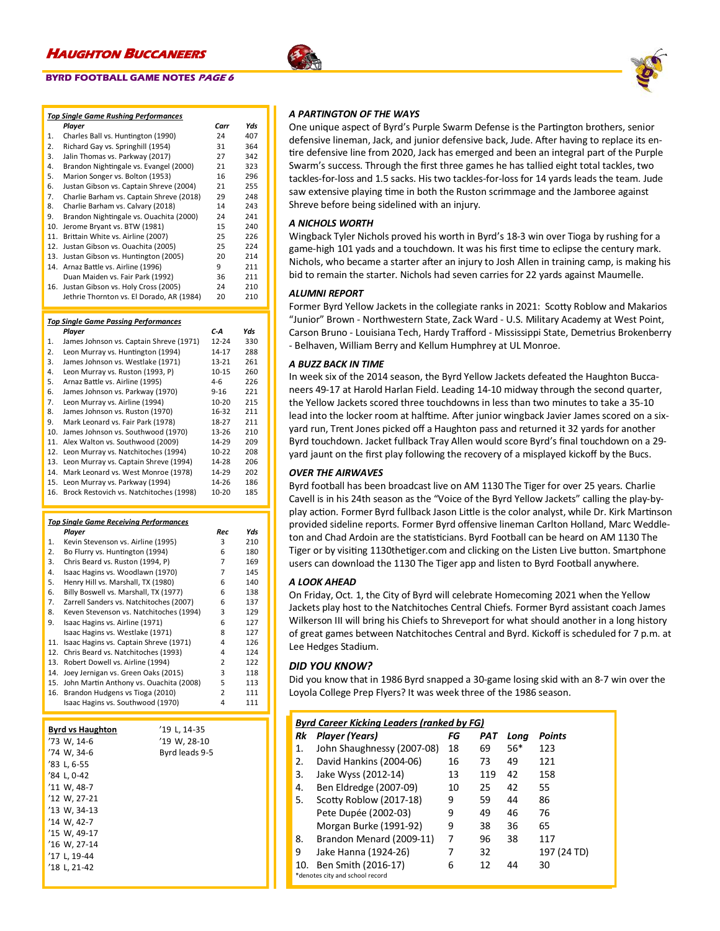### **BYRD FOOTBALL GAME NOTES PAGE 6**

|                  | <b>Top Single Game Rushing Performances</b> |           |     |
|------------------|---------------------------------------------|-----------|-----|
|                  | Player                                      | Carr      | Yds |
| 1.               | Charles Ball vs. Huntington (1990)          | 24        | 407 |
| $\overline{2}$ . | Richard Gay vs. Springhill (1954)           | 31        | 364 |
| 3.               | Jalin Thomas vs. Parkway (2017)             | 27        | 342 |
| 4.               | Brandon Nightingale vs. Evangel (2000)      | 21        | 323 |
| 5.               | Marion Songer vs. Bolton (1953)             | 16        | 296 |
| 6.               | Justan Gibson vs. Captain Shreve (2004)     | 21        | 255 |
| 7.               | Charlie Barham vs. Captain Shreve (2018)    | 29        | 248 |
| 8.               | Charlie Barham vs. Calvary (2018)           | 14        | 243 |
| 9.               | Brandon Nightingale vs. Ouachita (2000)     | 24        | 241 |
| 10.              | Jerome Bryant vs. BTW (1981)                | 15        | 240 |
| 11.              | Brittain White vs. Airline (2007)           | 25        | 226 |
| 12.              | Justan Gibson vs. Ouachita (2005)           | 25        | 224 |
| 13.              | Justan Gibson vs. Huntington (2005)         | 20        | 214 |
| 14.              | Arnaz Battle vs. Airline (1996)             | 9         | 211 |
|                  | Duan Maiden vs. Fair Park (1992)            | 36        | 211 |
| 16.              | Justan Gibson vs. Holy Cross (2005)         | 24        | 210 |
|                  | Jethrie Thornton vs. El Dorado, AR (1984)   | 20        | 210 |
|                  |                                             |           |     |
|                  | <b>Top Single Game Passing Performances</b> |           |     |
|                  | Player                                      | C-A       | Yds |
| 1.               | James Johnson vs. Captain Shreve (1971)     | $12 - 24$ | 330 |
| 2.               | Leon Murray vs. Huntington (1994)           | 14-17     | 288 |
| 3.               | James Johnson vs. Westlake (1971)           | $13 - 21$ | 261 |
| 4.               | Leon Murray vs. Ruston (1993, P)            | 10-15     | 260 |
|                  |                                             |           |     |

### 5. Arnaz Battle vs. Airline (1995) 4-6 226 6. James Johnson vs. Parkway (1970) 7. Leon Murray vs. Airline (1994) 10-20 215<br>8. James Johnson vs. Ruston (1970) 16-32 211 8. James Johnson vs. Ruston (1970) 9. Mark Leonard vs. Fair Park (1978) 18-27 211<br>10. James Johnson vs. Southwood (1970) 13-26 210 10. James Johnson vs. Southwood (1970) 11. Alex Walton vs. Southwood (2009) 14-29 209 12. Leon Murray vs. Natchitoches (1994) 10-22 208 13. Leon Murray vs. Captain Shreve (1994) 14-28 206 14. Mark Leonard vs. West Monroe (1978) 14-29 202 15. Leon Murray vs. Parkway (1994) 14-26 186 16. Brock Restovich vs. Natchitoches (1998) 10-20 185

### *Top Single Game Receiving Performances*

|     | Player                                  | Rec | Yds |
|-----|-----------------------------------------|-----|-----|
| 1.  | Kevin Stevenson vs. Airline (1995)      | 3   | 210 |
| 2.  | Bo Flurry vs. Huntington (1994)         | 6   | 180 |
| 3.  | Chris Beard vs. Ruston (1994, P)        | 7   | 169 |
| 4.  | Isaac Hagins vs. Woodlawn (1970)        | 7   | 145 |
| 5.  | Henry Hill vs. Marshall, TX (1980)      | 6   | 140 |
| 6.  | Billy Boswell vs. Marshall, TX (1977)   | 6   | 138 |
| 7.  | Zarrell Sanders vs. Natchitoches (2007) | 6   | 137 |
| 8.  | Keven Stevenson vs. Natchitoches (1994) | 3   | 129 |
| 9.  | Isaac Hagins vs. Airline (1971)         | 6   | 127 |
|     | Isaac Hagins vs. Westlake (1971)        | 8   | 127 |
| 11. | Isaac Hagins vs. Captain Shreve (1971)  | 4   | 126 |
| 12. | Chris Beard vs. Natchitoches (1993)     | 4   | 124 |
| 13. | Robert Dowell vs. Airline (1994)        | 2   | 122 |
| 14. | Joey Jernigan vs. Green Oaks (2015)     | 3   | 118 |
| 15. | John Martin Anthony vs. Ouachita (2008) | 5   | 113 |
| 16. | Brandon Hudgens vs Tioga (2010)         | 2   | 111 |
|     | Isaac Hagins vs. Southwood (1970)       | 4   | 111 |

| <b>Byrd vs Haughton</b> | '19 L. 14-35   |
|-------------------------|----------------|
| '73 W. 14-6             | '19 W. 28-10   |
| '74 W. 34-6             | Byrd leads 9-5 |
| '83 L. 6-55             |                |
| '84 L. 0-42             |                |
| '11 W. 48-7             |                |
| '12 W. 27-21            |                |
| '13 W. 34-13            |                |
| '14 W. 42-7             |                |
| '15 W. 49-17            |                |
| '16 W, 27-14            |                |
| '17 L. 19-44            |                |
| '18 L. 21-42            |                |
|                         |                |

### *A PARTINGTON OF THE WAYS*

One unique aspect of Byrd's Purple Swarm Defense is the Partington brothers, senior defensive lineman, Jack, and junior defensive back, Jude. After having to replace its entire defensive line from 2020, Jack has emerged and been an integral part of the Purple Swarm's success. Through the first three games he has tallied eight total tackles, two tackles-for-loss and 1.5 sacks. His two tackles-for-loss for 14 yards leads the team. Jude saw extensive playing time in both the Ruston scrimmage and the Jamboree against Shreve before being sidelined with an injury.

### *A NICHOLS WORTH*

Wingback Tyler Nichols proved his worth in Byrd's 18-3 win over Tioga by rushing for a game-high 101 yads and a touchdown. It was his first time to eclipse the century mark. Nichols, who became a starter after an injury to Josh Allen in training camp, is making his bid to remain the starter. Nichols had seven carries for 22 yards against Maumelle.

### *ALUMNI REPORT*

Former Byrd Yellow Jackets in the collegiate ranks in 2021: Scotty Roblow and Makarios "Junior" Brown - Northwestern State, Zack Ward - U.S. Military Academy at West Point, Carson Bruno - Louisiana Tech, Hardy Trafford - Mississippi State, Demetrius Brokenberry - Belhaven, William Berry and Kellum Humphrey at UL Monroe.

### *A BUZZ BACK IN TIME*

In week six of the 2014 season, the Byrd Yellow Jackets defeated the Haughton Buccaneers 49-17 at Harold Harlan Field. Leading 14-10 midway through the second quarter, the Yellow Jackets scored three touchdowns in less than two minutes to take a 35-10 lead into the locker room at halftime. After junior wingback Javier James scored on a sixyard run, Trent Jones picked off a Haughton pass and returned it 32 yards for another Byrd touchdown. Jacket fullback Tray Allen would score Byrd's final touchdown on a 29 yard jaunt on the first play following the recovery of a misplayed kickoff by the Bucs.

### *OVER THE AIRWAVES*

Byrd football has been broadcast live on AM 1130 The Tiger for over 25 years. Charlie Cavell is in his 24th season as the "Voice of the Byrd Yellow Jackets" calling the play-byplay action. Former Byrd fullback Jason Little is the color analyst, while Dr. Kirk Martinson provided sideline reports. Former Byrd offensive lineman Carlton Holland, Marc Weddleton and Chad Ardoin are the statisticians. Byrd Football can be heard on AM 1130 The Tiger or by visiting 1130thetiger.com and clicking on the Listen Live button. Smartphone users can download the 1130 The Tiger app and listen to Byrd Football anywhere.

### *A LOOK AHEAD*

On Friday, Oct. 1, the City of Byrd will celebrate Homecoming 2021 when the Yellow Jackets play host to the Natchitoches Central Chiefs. Former Byrd assistant coach James Wilkerson III will bring his Chiefs to Shreveport for what should another in a long history of great games between Natchitoches Central and Byrd. Kickoff is scheduled for 7 p.m. at Lee Hedges Stadium.

### *DID YOU KNOW?*

Did you know that in 1986 Byrd snapped a 30-game losing skid with an 8-7 win over the Loyola College Prep Flyers? It was week three of the 1986 season.

| <b>Byrd Career Kicking Leaders (ranked by FG)</b> |                                 |    |     |       |               |
|---------------------------------------------------|---------------------------------|----|-----|-------|---------------|
| Rk                                                | Player (Years)                  | FG | PAT | Long  | <b>Points</b> |
| 1.                                                | John Shaughnessy (2007-08)      | 18 | 69  | $56*$ | 123           |
| 2.                                                | David Hankins (2004-06)         | 16 | 73  | 49    | 121           |
| 3.                                                | Jake Wyss (2012-14)             | 13 | 119 | 42    | 158           |
| 4.                                                | Ben Eldredge (2007-09)          | 10 | 25  | 42    | 55            |
| 5.                                                | Scotty Roblow (2017-18)         | 9  | 59  | 44    | 86            |
|                                                   | Pete Dupée (2002-03)            | 9  | 49  | 46    | 76            |
|                                                   | Morgan Burke (1991-92)          | 9  | 38  | 36    | 65            |
| 8.                                                | Brandon Menard (2009-11)        | 7  | 96  | 38    | 117           |
| 9                                                 | Jake Hanna (1924-26)            | 7  | 32  |       | 197 (24 TD)   |
| 10.                                               | Ben Smith (2016-17)             | 6  | 12  | 44    | 30            |
|                                                   | *denotes city and school record |    |     |       |               |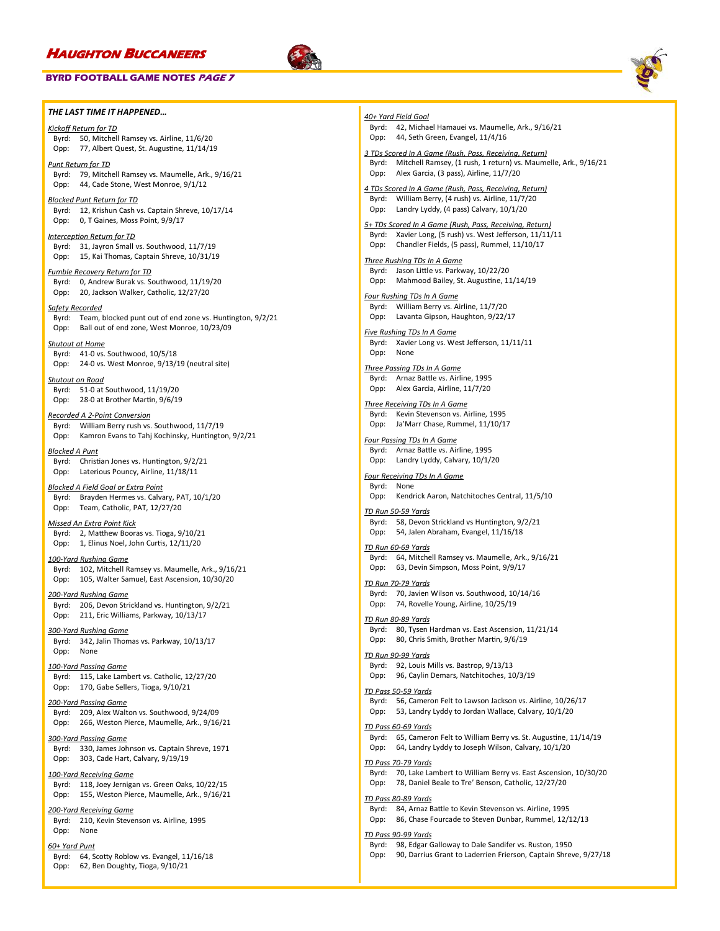Opp: 62, Ben Doughty, Tioga, 9/10/21

### **BYRD FOOTBALL GAME NOTES PAGE 7**





*THE LAST TIME IT HAPPENED… Kickoff Return for TD* Byrd: 50, Mitchell Ramsey vs. Airline, 11/6/20 Opp: 77, Albert Quest, St. Augustine, 11/14/19 *Punt Return for TD* Byrd: 79, Mitchell Ramsey vs. Maumelle, Ark., 9/16/21 Opp: 44, Cade Stone, West Monroe, 9/1/12 *Blocked Punt Return for TD* Byrd: 12, Krishun Cash vs. Captain Shreve, 10/17/14 Opp: 0, T Gaines, Moss Point, 9/9/17 *Interception Return for TD* Byrd: 31, Jayron Small vs. Southwood, 11/7/19 Opp: 15, Kai Thomas, Captain Shreve, 10/31/19 *Fumble Recovery Return for TD* Byrd: 0, Andrew Burak vs. Southwood, 11/19/20 Opp: 20, Jackson Walker, Catholic, 12/27/20 *Safety Recorded* Byrd: Team, blocked punt out of end zone vs. Huntington, 9/2/21 Opp: Ball out of end zone, West Monroe, 10/23/09 *Shutout at Home* Byrd: 41-0 vs. Southwood, 10/5/18 Opp: 24-0 vs. West Monroe, 9/13/19 (neutral site) *Shutout on Road* Byrd: 51-0 at Southwood, 11/19/20 Opp: 28-0 at Brother Martin, 9/6/19 *Recorded A 2-Point Conversion* Byrd: William Berry rush vs. Southwood, 11/7/19 Opp: Kamron Evans to Tahj Kochinsky, Huntington, 9/2/21 *Blocked A Punt* Byrd: Christian Jones vs. Huntington, 9/2/21 Opp: Laterious Pouncy, Airline, 11/18/11 *Blocked A Field Goal or Extra Point* Byrd: Brayden Hermes vs. Calvary, PAT, 10/1/20 Opp: Team, Catholic, PAT, 12/27/20 *Missed An Extra Point Kick* Byrd: 2, Matthew Booras vs. Tioga, 9/10/21 Opp: 1, Elinus Noel, John Curtis, 12/11/20 *100-Yard Rushing Game* Byrd: 102, Mitchell Ramsey vs. Maumelle, Ark., 9/16/21 Opp: 105, Walter Samuel, East Ascension, 10/30/20 *200-Yard Rushing Game* Byrd: 206, Devon Strickland vs. Huntington, 9/2/21 Opp: 211, Eric Williams, Parkway, 10/13/17 *300-Yard Rushing Game* Byrd: 342, Jalin Thomas vs. Parkway, 10/13/17 Opp: None *100-Yard Passing Game* Byrd: 115, Lake Lambert vs. Catholic, 12/27/20 Opp: 170, Gabe Sellers, Tioga, 9/10/21 *200-Yard Passing Game* Byrd: 209, Alex Walton vs. Southwood, 9/24/09 Opp: 266, Weston Pierce, Maumelle, Ark., 9/16/21 *300-Yard Passing Game* Byrd: 330, James Johnson vs. Captain Shreve, 1971 Opp: 303, Cade Hart, Calvary, 9/19/19 *100-Yard Receiving Game* Byrd: 118, Joey Jernigan vs. Green Oaks, 10/22/15 Opp: 155, Weston Pierce, Maumelle, Ark., 9/16/21 *200-Yard Receiving Game* Byrd: 210, Kevin Stevenson vs. Airline, 1995 Opp: None *60+ Yard Punt* Byrd: 64, Scotty Roblow vs. Evangel, 11/16/18 *40+ Yard Field Goal* Byrd: 42, Michael Hamauei vs. Maumelle, Ark., 9/16/21 Opp: 44, Seth Green, Evangel, 11/4/16 *3 TDs Scored In A Game (Rush, Pass, Receiving, Return)* Byrd: Mitchell Ramsey, (1 rush, 1 return) vs. Maumelle, Ark., 9/16/21 Opp: Alex Garcia, (3 pass), Airline, 11/7/20 *4 TDs Scored In A Game (Rush, Pass, Receiving, Return)* Byrd: William Berry, (4 rush) vs. Airline, 11/7/20 Opp: Landry Lyddy, (4 pass) Calvary, 10/1/20 *5+ TDs Scored In A Game (Rush, Pass, Receiving, Return)* Byrd: Xavier Long, (5 rush) vs. West Jefferson, 11/11/11 Opp: Chandler Fields, (5 pass), Rummel, 11/10/17 *Three Rushing TDs In A Game* Byrd: Jason Little vs. Parkway, 10/22/20 Opp: Mahmood Bailey, St. Augustine, 11/14/19 *Four Rushing TDs In A Game* Byrd: William Berry vs. Airline, 11/7/20 Opp: Lavanta Gipson, Haughton, 9/22/17 *Five Rushing TDs In A Game* Byrd: Xavier Long vs. West Jefferson, 11/11/11 Opp: None *Three Passing TDs In A Game* Byrd: Arnaz Battle vs. Airline, 1995 Opp: Alex Garcia, Airline, 11/7/20 *Three Receiving TDs In A Game* Byrd: Kevin Stevenson vs. Airline, 1995 Opp: Ja'Marr Chase, Rummel, 11/10/17 *Four Passing TDs In A Game* Byrd: Arnaz Battle vs. Airline, 1995 Opp: Landry Lyddy, Calvary, 10/1/20 *Four Receiving TDs In A Game* Byrd: None Opp: Kendrick Aaron, Natchitoches Central, 11/5/10 *TD Run 50-59 Yards* Byrd: 58, Devon Strickland vs Huntington, 9/2/21 Opp: 54, Jalen Abraham, Evangel, 11/16/18 *TD Run 60-69 Yards* Byrd: 64, Mitchell Ramsey vs. Maumelle, Ark., 9/16/21 Opp: 63, Devin Simpson, Moss Point, 9/9/17 *TD Run 70-79 Yards* Byrd: 70, Javien Wilson vs. Southwood, 10/14/16 Opp: 74, Rovelle Young, Airline, 10/25/19 *TD Run 80-89 Yards* Byrd: 80, Tysen Hardman vs. East Ascension, 11/21/14 Opp: 80, Chris Smith, Brother Martin, 9/6/19 *TD Run 90-99 Yards* Byrd: 92, Louis Mills vs. Bastrop, 9/13/13 Opp: 96, Caylin Demars, Natchitoches, 10/3/19 *TD Pass 50-59 Yards* Byrd: 56, Cameron Felt to Lawson Jackson vs. Airline, 10/26/17 Opp: 53, Landry Lyddy to Jordan Wallace, Calvary, 10/1/20 *TD Pass 60-69 Yards* Byrd: 65, Cameron Felt to William Berry vs. St. Augustine, 11/14/19 Opp: 64, Landry Lyddy to Joseph Wilson, Calvary, 10/1/20 *TD Pass 70-79 Yards* Byrd: 70, Lake Lambert to William Berry vs. East Ascension, 10/30/20 Opp: 78, Daniel Beale to Tre' Benson, Catholic, 12/27/20 *TD Pass 80-89 Yards* Byrd: 84, Arnaz Battle to Kevin Stevenson vs. Airline, 1995 Opp: 86, Chase Fourcade to Steven Dunbar, Rummel, 12/12/13 *TD Pass 90-99 Yards* Byrd: 98, Edgar Galloway to Dale Sandifer vs. Ruston, 1950 Opp: 90, Darrius Grant to Laderrien Frierson, Captain Shreve, 9/27/18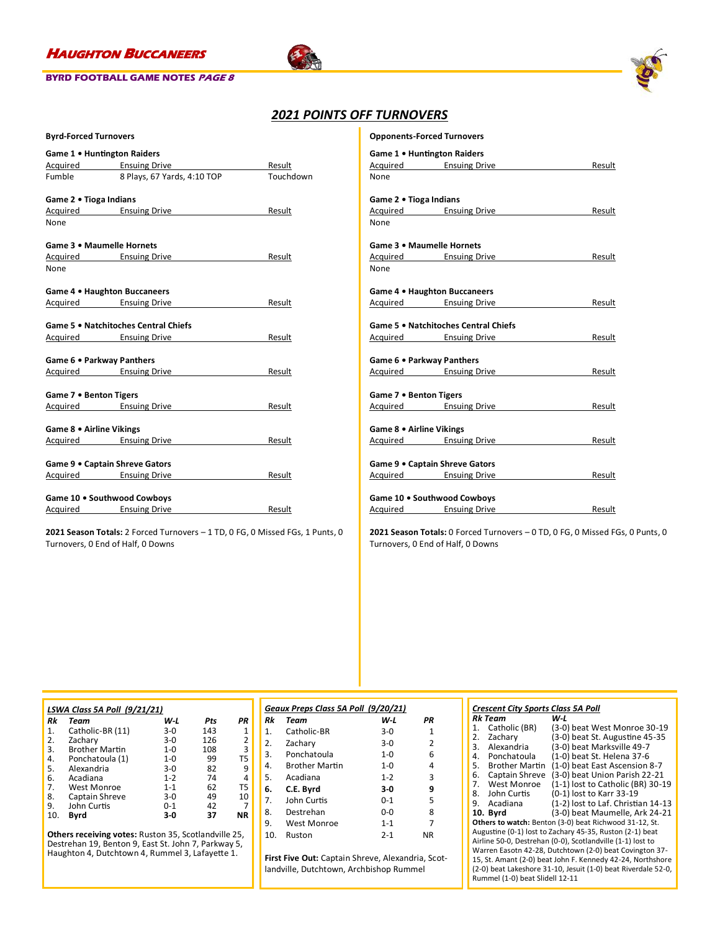

### **BYRD FOOTBALL GAME NOTES PAGE 8**





### *2021 POINTS OFF TURNOVERS*

| <b>Byrd-Forced Turnovers</b> |  |
|------------------------------|--|
|------------------------------|--|

| Game 1 . Huntington Raiders    |                                      |           |  |  |
|--------------------------------|--------------------------------------|-----------|--|--|
|                                | Acquired Ensuing Drive               | Result    |  |  |
| Fumble                         | 8 Plays, 67 Yards, 4:10 TOP          | Touchdown |  |  |
| Game 2 . Tioga Indians         |                                      |           |  |  |
| Acquired Ensuing Drive         |                                      | Result    |  |  |
| None                           |                                      |           |  |  |
| Game 3 . Maumelle Hornets      |                                      |           |  |  |
| Acquired Ensuing Drive         |                                      | Result    |  |  |
| None                           |                                      |           |  |  |
| Game 4 . Haughton Buccaneers   |                                      |           |  |  |
| Acquired Ensuing Drive         |                                      | Result    |  |  |
|                                | Game 5 . Natchitoches Central Chiefs |           |  |  |
|                                | Acquired Ensuing Drive               | Result    |  |  |
| Game 6 . Parkway Panthers      |                                      |           |  |  |
| Acquired Ensuing Drive         |                                      | Result    |  |  |
| Game 7 . Benton Tigers         |                                      |           |  |  |
| Acquired Ensuing Drive         |                                      | Result    |  |  |
| Game 8 . Airline Vikings       |                                      |           |  |  |
| Acquired Ensuing Drive         |                                      | Result    |  |  |
| Game 9 . Captain Shreve Gators |                                      |           |  |  |
| Acquired Ensuing Drive         |                                      | Result    |  |  |
|                                |                                      |           |  |  |
| Game 10 . Southwood Cowboys    |                                      |           |  |  |
| <b>Acquired</b> Ensuing Drive  |                                      | Result    |  |  |

**2021 Season Totals:** 2 Forced Turnovers – 1 TD, 0 FG, 0 Missed FGs, 1 Punts, 0 Turnovers, 0 End of Half, 0 Downs

|                          | <b>Opponents-Forced Turnovers</b>    |        |
|--------------------------|--------------------------------------|--------|
|                          | Game 1 . Huntington Raiders          |        |
|                          | Acquired Ensuing Drive               | Result |
| None                     |                                      |        |
| Game 2 . Tioga Indians   |                                      |        |
|                          | Acquired Ensuing Drive               | Result |
| None                     |                                      |        |
|                          | Game 3 . Maumelle Hornets            |        |
|                          | Acquired Ensuing Drive               | Result |
| None                     |                                      |        |
|                          | Game 4 . Haughton Buccaneers         |        |
|                          | Acquired Ensuing Drive               | Result |
|                          | Game 5 . Natchitoches Central Chiefs |        |
|                          | Acquired Ensuing Drive               | Result |
|                          | Game 6 . Parkway Panthers            |        |
|                          | Acquired Ensuing Drive               | Result |
| Game 7 . Benton Tigers   |                                      |        |
|                          | Acquired Ensuing Drive               | Result |
|                          |                                      |        |
| Game 8 . Airline Vikings |                                      |        |
|                          | Acquired Ensuing Drive               | Result |
|                          | Game 9 . Captain Shreve Gators       |        |
|                          | Acquired Ensuing Drive               | Result |
|                          | Game 10 . Southwood Cowboys          |        |

**2021 Season Totals:** 0 Forced Turnovers – 0 TD, 0 FG, 0 Missed FGs, 0 Punts, 0 Turnovers, 0 End of Half, 0 Downs

Acquired Ensuing Drive **Ensuing Line Result** 

|     | LSWA Class 5A Poll (9/21/21) |         |     |                |  |  |  |
|-----|------------------------------|---------|-----|----------------|--|--|--|
| Rk  | Team                         | W L     | Pts | PR             |  |  |  |
| 1.  | Catholic-BR (11)             | $3-0$   | 143 | 1              |  |  |  |
| 2.  | Zachary                      | $3-0$   | 126 | 2              |  |  |  |
| 3.  | <b>Brother Martin</b>        | $1 - 0$ | 108 | 3              |  |  |  |
| 4.  | Ponchatoula (1)              | $1 - 0$ | 99  | T <sub>5</sub> |  |  |  |
| 5.  | Alexandria                   | $3-0$   | 82  | 9              |  |  |  |
| 6.  | Acadiana                     | $1 - 2$ | 74  | 4              |  |  |  |
| 7.  | West Monroe                  | $1 - 1$ | 62  | T <sub>5</sub> |  |  |  |
| 8.  | Captain Shreve               | $3-0$   | 49  | 10             |  |  |  |
| 9.  | John Curtis                  | $0 - 1$ | 42  |                |  |  |  |
| 10. | Byrd                         | $3-0$   | 37  | ΝR             |  |  |  |

**Others receiving votes:** Ruston 35, Scotlandville 25, Destrehan 19, Benton 9, East St. John 7, Parkway 5, Haughton 4, Dutchtown 4, Rummel 3, Lafayette 1.

| Geaux Preps Class 5A Poll (9/20/21) |                       |             |                |  |  |
|-------------------------------------|-----------------------|-------------|----------------|--|--|
| Rk                                  | Team                  | W-L         | PR             |  |  |
| 1 <sup>1</sup>                      | Catholic-BR           | $3-0$       | 1              |  |  |
| 2.                                  | Zachary               | $3-0$       | $\overline{2}$ |  |  |
| 3.                                  | Ponchatoula           | 1- $\Omega$ | 6              |  |  |
| 4.                                  | <b>Brother Martin</b> | 1- $\Omega$ | 4              |  |  |
| 5.                                  | Acadiana              | $1 - 2$     | 3              |  |  |
| 6.                                  | C.E. Byrd             | 3-0         | 9              |  |  |
| 7.                                  | John Curtis           | በ-1         | 5              |  |  |
| 8.                                  | Destrehan             | 0-0         | 8              |  |  |
| 9.                                  | West Monroe           | $1 - 1$     | 7              |  |  |
| 10.                                 | Ruston                | $2 - 1$     | ΝR             |  |  |

**First Five Out:** Captain Shreve, Alexandria, Scotlandville, Dutchtown, Archbishop Rummel

### *Crescent City Sports Class 5A Poll*

| Catholic (BR)<br>(3-0) beat West Monroe 30-19<br>1.<br>(3-0) beat St. Augustine 45-35<br>Zacharv<br>2.<br>(3-0) beat Marksville 49-7<br>Alexandria<br>3.<br>(1-0) beat St. Helena 37-6<br>Ponchatoula<br>4.<br>(1-0) beat East Ascension 8-7<br><b>Brother Martin</b><br>5.<br>(3-0) beat Union Parish 22-21<br>Captain Shreve<br>6.<br>(1-1) lost to Catholic (BR) 30-19<br>West Monroe<br>7. |  |  |  |  |  |
|------------------------------------------------------------------------------------------------------------------------------------------------------------------------------------------------------------------------------------------------------------------------------------------------------------------------------------------------------------------------------------------------|--|--|--|--|--|
|                                                                                                                                                                                                                                                                                                                                                                                                |  |  |  |  |  |
|                                                                                                                                                                                                                                                                                                                                                                                                |  |  |  |  |  |
|                                                                                                                                                                                                                                                                                                                                                                                                |  |  |  |  |  |
|                                                                                                                                                                                                                                                                                                                                                                                                |  |  |  |  |  |
|                                                                                                                                                                                                                                                                                                                                                                                                |  |  |  |  |  |
|                                                                                                                                                                                                                                                                                                                                                                                                |  |  |  |  |  |
|                                                                                                                                                                                                                                                                                                                                                                                                |  |  |  |  |  |
| (0-1) lost to Karr 33-19<br>John Curtis<br>8.                                                                                                                                                                                                                                                                                                                                                  |  |  |  |  |  |
| (1-2) lost to Laf. Christian 14-13<br>Acadiana<br>9.                                                                                                                                                                                                                                                                                                                                           |  |  |  |  |  |
| (3-0) beat Maumelle, Ark 24-21<br>10. Bvrd                                                                                                                                                                                                                                                                                                                                                     |  |  |  |  |  |
| Others to watch: Benton (3-0) beat Richwood 31-12, St.                                                                                                                                                                                                                                                                                                                                         |  |  |  |  |  |
| Augustine (0-1) lost to Zachary 45-35, Ruston (2-1) beat                                                                                                                                                                                                                                                                                                                                       |  |  |  |  |  |
| Airline 50-0, Destrehan (0-0), Scotlandville (1-1) lost to                                                                                                                                                                                                                                                                                                                                     |  |  |  |  |  |
| Warren Easotn 42-28, Dutchtown (2-0) beat Covington 37-                                                                                                                                                                                                                                                                                                                                        |  |  |  |  |  |
| 15, St. Amant (2-0) beat John F. Kennedy 42-24, Northshore                                                                                                                                                                                                                                                                                                                                     |  |  |  |  |  |
|                                                                                                                                                                                                                                                                                                                                                                                                |  |  |  |  |  |

15, St. Amant (2-0) beat John F. Kennedy 42-24, Northshore (2-0) beat Lakeshore 31-10, Jesuit (1-0) beat Riverdale 52-0, Rummel (1-0) beat Slidell 12-11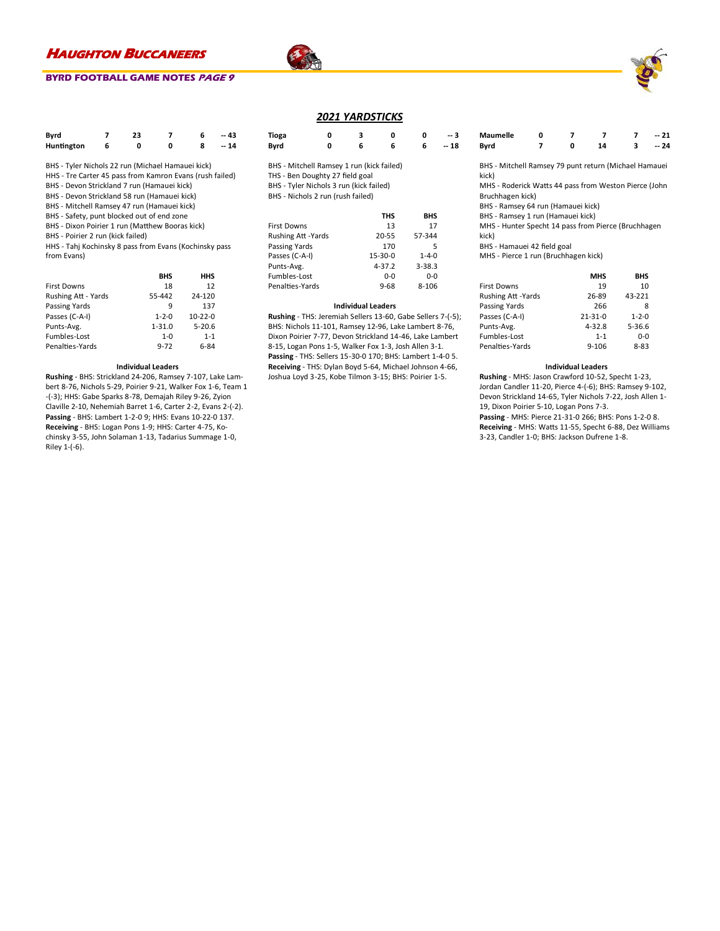### **BYRD FOOTBALL GAME NOTES PAGE 9**

| Byrd       | 23 |   | -- 43 |
|------------|----|---|-------|
| Huntington |    | n | $-14$ |

- BHS Tyler Nichols 22 run (Michael Hamauei kick)
- HHS Tre Carter 45 pass from Kamron Evans (rush failed)
- BHS Devon Strickland 7 run (Hamauei kick)
- BHS Devon Strickland 58 run (Hamauei kick)
- BHS Mitchell Ramsey 47 run (Hamauei kick)
- BHS Safety, punt blocked out of end zone
- BHS Dixon Poirier 1 run (Matthew Booras kick)
- BHS Poirier 2 run (kick failed)

HHS - Tahj Kochinsky 8 pass from Evans (Kochinsky pass from Evans)

|                     | <b>BHS</b>  | HHS           |
|---------------------|-------------|---------------|
| <b>First Downs</b>  | 18          | 12            |
| Rushing Att - Yards | 55-442      | 24-120        |
| Passing Yards       | q           | 137           |
| Passes (C-A-I)      | $1 - 2 - 0$ | $10 - 22 - 0$ |
| Punts-Avg.          | $1 - 31.0$  | $5 - 20.6$    |
| Fumbles-Lost        | $1 - 0$     | $1 - 1$       |
| Penalties-Yards     | $9 - 72$    | 6-84          |

#### **Individual Leaders**

**Rushing** - BHS: Strickland 24-206, Ramsey 7-107, Lake Lambert 8-76, Nichols 5-29, Poirier 9-21, Walker Fox 1-6, Team 1 -(-3); HHS: Gabe Sparks 8-78, Demajah Riley 9-26, Zyion Claville 2-10, Nehemiah Barret 1-6, Carter 2-2, Evans 2-(-2). **Passing** - BHS: Lambert 1-2-0 9; HHS: Evans 10-22-0 137. **Receiving** - BHS: Logan Pons 1-9; HHS: Carter 4-75, Kochinsky 3-55, John Solaman 1-13, Tadarius Summage 1-0, Riley 1-(-6).

### *2021 YARDSTICKS*

| Tioga<br>Byrd                                                                                                                                                | 0<br>0 | 3<br>6 | 0<br>6 | 0<br>6     | -- 3<br>-- 18 |  |
|--------------------------------------------------------------------------------------------------------------------------------------------------------------|--------|--------|--------|------------|---------------|--|
| BHS - Mitchell Ramsey 1 run (kick failed)<br>THS - Ben Doughty 27 field goal<br>BHS - Tyler Nichols 3 run (kick failed)<br>BHS - Nichols 2 run (rush failed) |        |        |        |            |               |  |
|                                                                                                                                                              |        |        | THS    | <b>BHS</b> |               |  |
| <b>First Downs</b>                                                                                                                                           |        |        | 13     | 17         |               |  |
| <b>Rushing Att -Yards</b>                                                                                                                                    |        |        | 20-55  | 57-344     |               |  |
|                                                                                                                                                              |        |        |        |            |               |  |

| <b>Rushing Att-Yards</b> | 20-55         | 57-344      |
|--------------------------|---------------|-------------|
| Passing Yards            | 170           | 5           |
| Passes (C-A-I)           | $15 - 30 - 0$ | $1 - 4 - 0$ |
| Punts-Avg.               | $4 - 37.2$    | $3 - 38.3$  |
| Fumbles-Lost             | $0 - 0$       | $0 - 0$     |
| Penalties-Yards          | $9 - 68$      | 8-106       |

#### **Individual Leaders**

**Rushing** - THS: Jeremiah Sellers 13-60, Gabe Sellers 7-(-5); BHS: Nichols 11-101, Ramsey 12-96, Lake Lambert 8-76, Dixon Poirier 7-77, Devon Strickland 14-46, Lake Lambert 8-15, Logan Pons 1-5, Walker Fox 1-3, Josh Allen 3-1. **Passing** - THS: Sellers 15-30-0 170; BHS: Lambert 1-4-0 5. **Receiving** - THS: Dylan Boyd 5-64, Michael Johnson 4-66, Joshua Loyd 3-25, Kobe Tilmon 3-15; BHS: Poirier 1-5.

| Maumelle |  |    | $-21$ |
|----------|--|----|-------|
| Byrd     |  | 14 | $-24$ |

BHS - Mitchell Ramsey 79 punt return (Michael Hamauei kick)

MHS - Roderick Watts 44 pass from Weston Pierce (John Bruchhagen kick)

BHS - Ramsey 64 run (Hamauei kick)

BHS - Ramsey 1 run (Hamauei kick)

MHS - Hunter Specht 14 pass from Pierce (Bruchhagen kick)

BHS - Hamauei 42 field goal

MHS - Pierce 1 run (Bruchhagen kick)

|                     | <b>MHS</b>    | <b>BHS</b>  |
|---------------------|---------------|-------------|
| <b>First Downs</b>  | 19            | 10          |
| Rushing Att - Yards | 26-89         | 43-221      |
| Passing Yards       | 266           | 8           |
| Passes (C-A-I)      | $21 - 31 - 0$ | $1 - 2 - 0$ |
| Punts-Avg.          | $4 - 32.8$    | 5-36.6      |
| Fumbles-Lost        | $1 - 1$       | $0 - 0$     |
| Penalties-Yards     | $9 - 106$     | $8 - 83$    |

### **Individual Leaders**

**Rushing** - MHS: Jason Crawford 10-52, Specht 1-23, Jordan Candler 11-20, Pierce 4-(-6); BHS: Ramsey 9-102, Devon Strickland 14-65, Tyler Nichols 7-22, Josh Allen 1- 19, Dixon Poirier 5-10, Logan Pons 7-3.

**Passing** - MHS: Pierce 21-31-0 266; BHS: Pons 1-2-0 8. **Receiving** - MHS: Watts 11-55, Specht 6-88, Dez Williams 3-23, Candler 1-0; BHS: Jackson Dufrene 1-8.



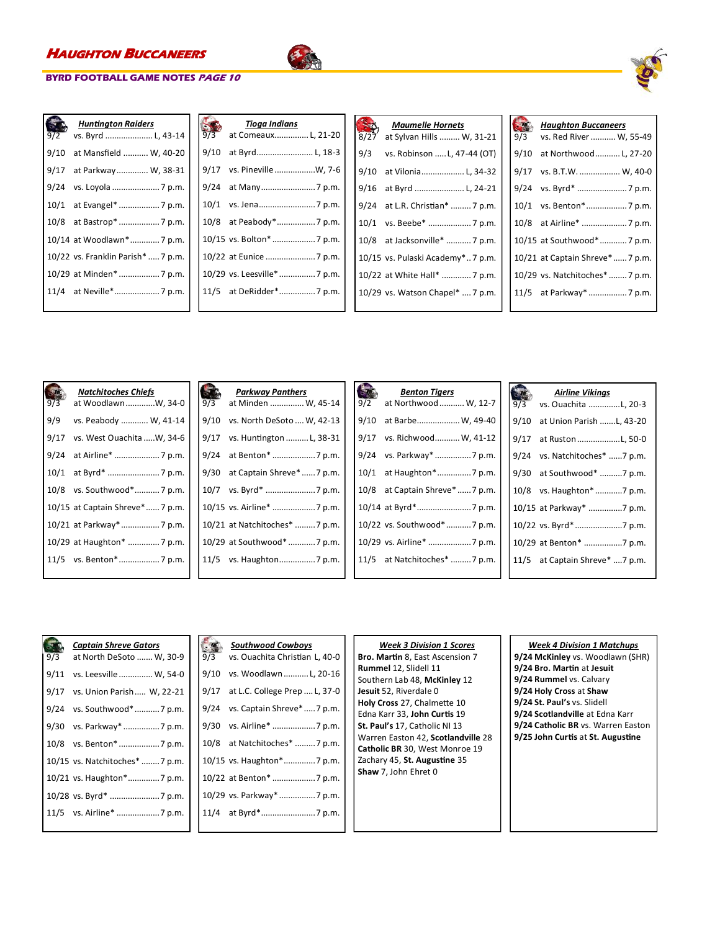

|      | <b>Huntington Raiders</b>          |
|------|------------------------------------|
| 9/2  | vs. Byrd  L, 43-14                 |
| 9/10 | at Mansfield  W, 40-20             |
| 9/17 | at Parkway W, 38-31                |
| 9/24 | vs. Loyola  7 p.m.                 |
| 10/1 |                                    |
| 10/8 |                                    |
|      | 10/14 at Woodlawn* 7 p.m.          |
|      | 10/22 vs. Franklin Parish*  7 p.m. |
|      | 10/29 at Minden*  7 p.m.           |
|      |                                    |
|      |                                    |

| 9/3  | <b>Tioga Indians</b>         |
|------|------------------------------|
|      | at Comeaux L, 21-20          |
| 9/10 | at Byrd L, 18-3              |
| 9/17 | vs. Pineville W, 7-6         |
| 9/24 |                              |
|      |                              |
|      |                              |
|      |                              |
|      |                              |
|      | 10/29 vs. Leesville*  7 p.m. |
|      | 11/5 at DeRidder* 7 p.m.     |
|      |                              |

| 8/27 | <b>Maumelle Hornets</b><br>at Sylvan Hills  W, 31-21 |
|------|------------------------------------------------------|
| 9/3  | vs. Robinson  L, 47-44 (OT)                          |
| 9/10 | at Vilonia L, 34-32                                  |
| 9/16 | at Byrd  L, 24-21                                    |
| 9/24 | at L.R. Christian*  7 p.m.                           |
| 10/1 |                                                      |
|      | 10/8 at Jacksonville*  7 p.m.                        |
|      | 10/15 vs. Pulaski Academy* 7 p.m.                    |
|      | 10/22 at White Hall*  7 p.m.                         |
|      | 10/29 vs. Watson Chapel*  7 p.m.                     |
|      |                                                      |

| 9/3  | <b>Haughton Buccaneers</b><br>vs. Red River  W, 55-49 |
|------|-------------------------------------------------------|
| 9/10 | at Northwood L, 27-20                                 |
| 9/17 | vs. B.T.W.  W, 40-0                                   |
| 9/24 | vs. Byrd*  7 p.m.                                     |
| 10/1 | vs. Benton*7 p.m.                                     |
| 10/8 | at Airline*  7 p.m.                                   |
|      | 10/15 at Southwood*7 p.m.                             |
|      | 10/21 at Captain Shreve*7 p.m.                        |
|      | 10/29 vs. Natchitoches*  7 p.m.                       |
|      | 11/5 at Parkway*  7 p.m.                              |
|      |                                                       |

| 9/3 | <b>Natchitoches Chiefs</b><br>at WoodlawnW, 34-0 | 9/3 | Parkway<br>at Minden             |
|-----|--------------------------------------------------|-----|----------------------------------|
| 9/9 | vs. Peabody  W, 41-14                            |     | 9/10 vs. North I                 |
|     | 9/17 vs. West Ouachita W, 34-6                   |     | 9/17 vs. Hunting                 |
|     |                                                  |     | 9/24 at Benton                   |
|     |                                                  |     | 9/30 at Captain                  |
|     | 10/8 vs. Southwood* 7 p.m.                       |     | 10/7 vs. Byrd*.                  |
|     | 10/15 at Captain Shreve* 7 p.m.                  |     | $10/15$ vs. Airline <sup>3</sup> |
|     | 10/21 at Parkway*  7 p.m.                        |     | 10/21 at Natchite                |
|     | 10/29 at Haughton*  7 p.m.                       |     | 10/29 at Southw                  |
|     |                                                  |     | 11/5 vs. Haught                  |
|     |                                                  |     |                                  |

| 9/3  | <b>Parkway Panthers</b><br>at Minden  W, 45-14 |
|------|------------------------------------------------|
| 9/10 | vs. North DeSoto  W, 42-13                     |
| 9/17 | vs. Huntington  L, 38-31                       |
| 9/24 |                                                |
| 9/30 | at Captain Shreve*  7 p.m.                     |
| 10/7 |                                                |
|      | 10/15 vs. Airline* 7 p.m.                      |
|      | 10/21 at Natchitoches*  7 p.m.                 |
|      | 10/29 at Southwood*7 p.m.                      |
|      | 11/5 vs. Haughton7 p.m.                        |
|      |                                                |

| 9/2 | <b>Benton Tigers</b><br>at Northwood  W, 12-7 |
|-----|-----------------------------------------------|
|     | 9/10 at Barbe W, 49-40                        |
|     | 9/17 vs. Richwood W, 41-12                    |
|     | 9/24 vs. Parkway* 7 p.m.                      |
|     | 10/1 at Haughton*7 p.m.                       |
|     | 10/8 at Captain Shreve*  7 p.m.               |
|     |                                               |
|     | 10/22 vs. Southwood*7 p.m.                    |
|     | 10/29 vs. Airline* 7 p.m.                     |
|     | 11/5 at Natchitoches* 7 p.m.                  |
|     |                                               |

| 9/3  | <b>Airline Vikings</b><br>vs. Ouachita L, 20-3 |
|------|------------------------------------------------|
| 9/10 | at Union Parish L, 43-20                       |
| 9/17 | at Ruston L, 50-0                              |
| 9/24 | vs. Natchitoches* 7 p.m.                       |
| 9/30 | at Southwood* 7 p.m.                           |
| 10/8 | vs. Haughton* 7 p.m.                           |
|      | 10/15 at Parkway* 7 p.m.                       |
|      | 10/22 vs. Byrd* 7 p.m.                         |
|      | 10/29 at Benton* 7 p.m.                        |
|      | 11/5 at Captain Shreve* 7 p.m.                 |
|      |                                                |

| 9/3  | Captain Shreve Gators<br>at North DeSoto  W, 30-9 |
|------|---------------------------------------------------|
| 9/11 | vs. Leesville  W, 54-0                            |
| 9/17 | vs. Union Parish  W, 22-21                        |
| 9/24 | vs. Southwood*  7 p.m.                            |
| 9/30 | vs. Parkway*  7 p.m.                              |
| 10/8 |                                                   |
|      | 10/15 vs. Natchitoches*  7 p.m.                   |
|      | 10/21 vs. Haughton*7 p.m.                         |
|      | 10/28 vs. Byrd*  7 p.m.                           |
|      |                                                   |
|      |                                                   |

| 9/3  | <b>Southwood Cowboys</b><br>vs. Ouachita Christian L, 40-0 |
|------|------------------------------------------------------------|
|      | 9/10 vs. Woodlawn  L, 20-16                                |
| 9/17 | at L.C. College Prep  L, 37-0                              |
|      | 9/24 vs. Captain Shreve*7 p.m.                             |
|      |                                                            |
|      | 10/8 at Natchitoches* 7 p.m.                               |
|      | 10/15 vs. Haughton*7 p.m.                                  |
|      | 10/22 at Benton*  7 p.m.                                   |
|      | 10/29 vs. Parkway* 7 p.m.                                  |
|      |                                                            |
|      |                                                            |

### *Week 3 Division 1 Scores* **Bro. Martin** 8, East Ascension 7 **Rummel** 12, Slidell 11 Southern Lab 48, **McKinley** 12 **Jesuit** 52, Riverdale 0 **Holy Cross** 27, Chalmette 10 Edna Karr 33, **John Curtis** 19 **St. Paul's** 17, Catholic NI 13 Warren Easton 42, **Scotlandville** 28 **Catholic BR** 30, West Monroe 19 Zachary 45, **St. Augustine** 35 **Shaw** 7, John Ehret 0

### *Week 4 Division 1 Matchups*

**9/24 McKinley** vs. Woodlawn (SHR) **9/24 Bro. Martin** at **Jesuit 9/24 Rummel** vs. Calvary **9/24 Holy Cross** at **Shaw 9/24 St. Paul's** vs. Slidell **9/24 Scotlandville** at Edna Karr **9/24 Catholic BR** vs. Warren Easton **9/25 John Curtis** at **St. Augustine**

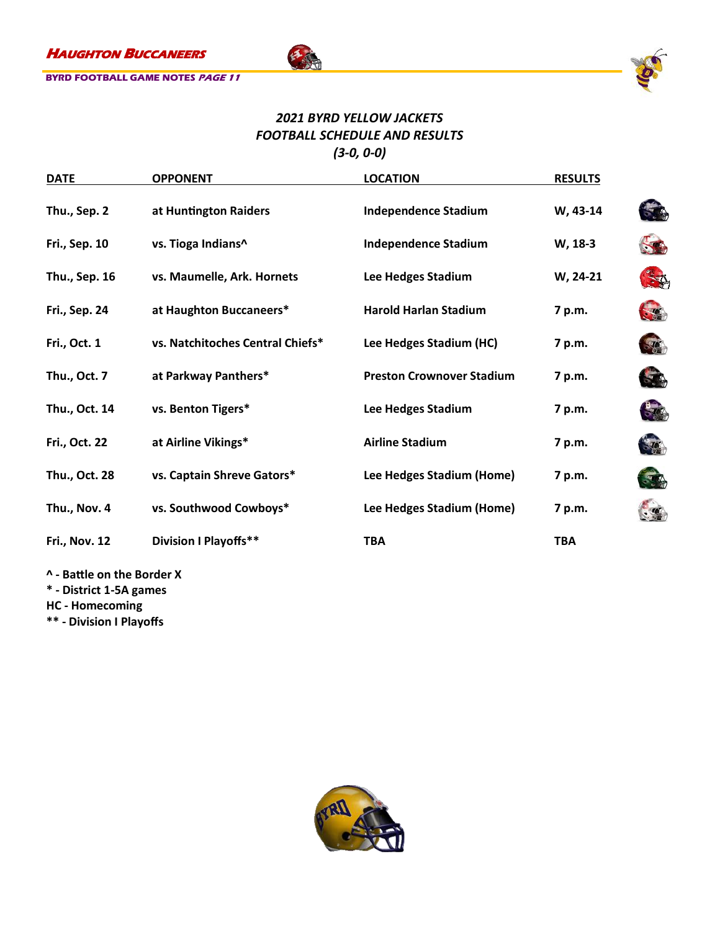

## *2021 BYRD YELLOW JACKETS FOOTBALL SCHEDULE AND RESULTS (3-0, 0-0)*

千

| <b>DATE</b>          | <b>OPPONENT</b>                  | <b>LOCATION</b>                  | <b>RESULTS</b> |                |
|----------------------|----------------------------------|----------------------------------|----------------|----------------|
| Thu., Sep. 2         | at Huntington Raiders            | <b>Independence Stadium</b>      | W, 43-14       | $\rightarrow$  |
| <b>Fri., Sep. 10</b> | vs. Tioga Indians^               | <b>Independence Stadium</b>      | W, 18-3        |                |
| Thu., Sep. 16        | vs. Maumelle, Ark. Hornets       | Lee Hedges Stadium               | W, 24-21       | $\mathbb{Z}^4$ |
| <b>Fri., Sep. 24</b> | at Haughton Buccaneers*          | <b>Harold Harlan Stadium</b>     | 7 p.m.         |                |
| Fri., Oct. 1         | vs. Natchitoches Central Chiefs* | Lee Hedges Stadium (HC)          | 7 p.m.         | $\frac{1}{2}$  |
| Thu., Oct. 7         | at Parkway Panthers*             | <b>Preston Crownover Stadium</b> | 7 p.m.         | $\rightarrow$  |
| Thu., Oct. 14        | vs. Benton Tigers*               | Lee Hedges Stadium               | 7 p.m.         | $-1$           |
| Fri., Oct. 22        | at Airline Vikings*              | <b>Airline Stadium</b>           | 7 p.m.         | $\mathcal{L}$  |
| Thu., Oct. 28        | vs. Captain Shreve Gators*       | Lee Hedges Stadium (Home)        | 7 p.m.         |                |
| Thu., Nov. 4         | vs. Southwood Cowboys*           | Lee Hedges Stadium (Home)        | 7 p.m.         |                |
| <b>Fri., Nov. 12</b> | <b>Division I Playoffs**</b>     | <b>TBA</b>                       | <b>TBA</b>     |                |
|                      |                                  |                                  |                |                |

**^ - Battle on the Border X**

**\* - District 1-5A games**

**HC - Homecoming**

**\*\* - Division I Playoffs**

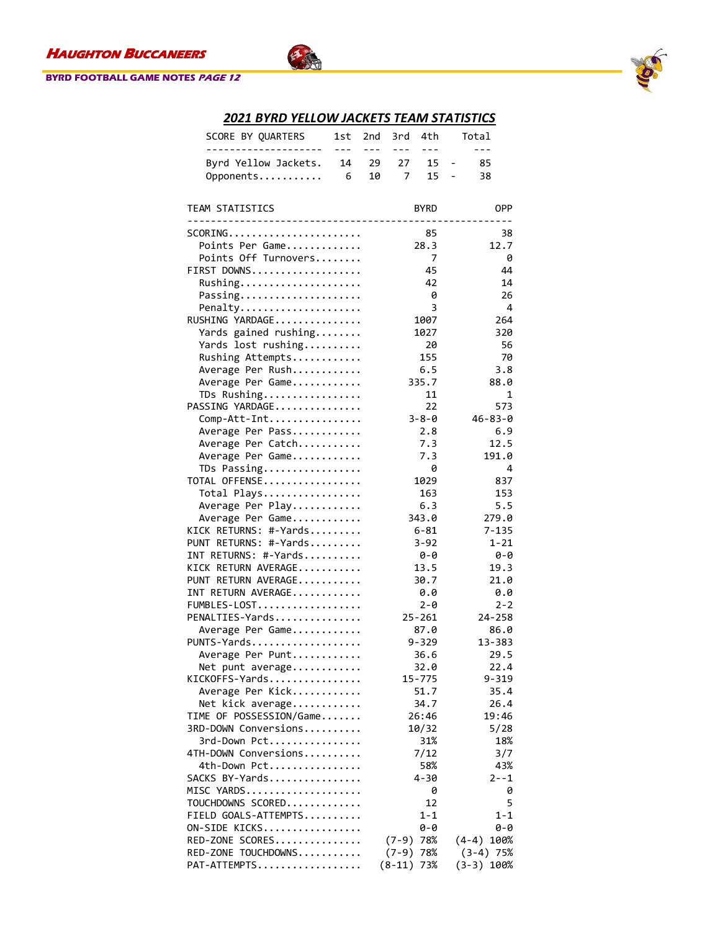### **BYRD FOOTBALL GAME NOTES PAGE 12**



## *2021 BYRD YELLOW JACKETS TEAM STATISTICS*

不

| SCORE BY QUARTERS                                                          | 1st     | 2nd     | 3rd             | 4th                | Total                          |
|----------------------------------------------------------------------------|---------|---------|-----------------|--------------------|--------------------------------|
| ---------------------                                                      | $- - -$ | $- - -$ | $- - -$         | $- - -$            | $- - -$                        |
| Byrd Yellow Jackets.                                                       | 14      | 29      | 27              | 15                 | 85<br>$\qquad \qquad -$        |
| Opponents                                                                  | 6       | 10      | 7               | 15                 | 38<br>$\overline{\phantom{0}}$ |
|                                                                            |         |         |                 |                    |                                |
| TEAM STATISTICS                                                            |         |         |                 | <b>BYRD</b>        | <b>OPP</b>                     |
| -------------------------<br>$SCORING$                                     |         |         | $- - - - - - -$ | 85                 | 38                             |
| Points Per Game                                                            |         |         |                 | 28.3               | 12.7                           |
| Points Off Turnovers                                                       |         |         |                 | 7                  | 0                              |
| FIRST DOWNS                                                                |         |         |                 | 45                 | 44                             |
| Rushing                                                                    |         |         |                 | 42                 | 14                             |
| Passing                                                                    |         |         |                 | 0                  | 26                             |
| Penalty                                                                    |         |         |                 | 3                  | 4                              |
| $\texttt{RUSHING}$ YARDAGE                                                 |         |         |                 | 1007               | 264                            |
| Yards gained rushing                                                       |         |         |                 | 1027               | 320                            |
| Yards lost rushing                                                         |         |         |                 | 20                 | 56                             |
| Rushing Attempts                                                           |         |         |                 | 155                | 70                             |
| Average Per Rush                                                           |         |         |                 | 6.5                | 3.8                            |
| Average Per Game                                                           |         |         |                 | 335.7              | 88.0                           |
| TDs Rushing                                                                |         |         |                 | 11                 | 1                              |
| PASSING YARDAGE                                                            |         |         |                 | 22                 | 573                            |
| Comp-Att-Int                                                               |         |         |                 | $3 - 8 - 0$        | $46 - 83 - 0$                  |
| Average Per Pass                                                           |         |         |                 | 2.8                | 6.9                            |
| Average Per Catch                                                          |         |         |                 | 7.3                | 12.5                           |
| Average Per Game                                                           |         |         |                 | 7.3                | 191.0                          |
| TDs Passing                                                                |         |         |                 | 0                  | 4                              |
| $\texttt{TOTAL}$ <code>OFFENSE</code> $\ldots \ldots \ldots \ldots \ldots$ |         |         |                 | 1029               | 837                            |
| Total Plays                                                                |         |         |                 | 163                | 153                            |
| Average Per Play                                                           |         |         |                 | 6.3                | 5.5                            |
| Average Per Game                                                           |         |         |                 | 343.0              | 279.0                          |
| KICK RETURNS: #-Yards                                                      |         |         |                 | $6 - 81$           | $7 - 135$                      |
| PUNT RETURNS: #-Yards                                                      |         |         |                 | $3 - 92$           | $1 - 21$                       |
| INT RETURNS: #-Yards                                                       |         |         |                 | 0-0                | 0-0                            |
| KICK RETURN AVERAGE                                                        |         |         |                 | 13.5               | 19.3                           |
| PUNT RETURN AVERAGE                                                        |         |         |                 | 30.7               | 21.0                           |
| INT RETURN AVERAGE                                                         |         |         |                 | 0.0                | 0.0                            |
| FUMBLES-LOST                                                               |         |         |                 | $2 - \theta$       | $2 - 2$                        |
| PENALTIES-Yards                                                            |         |         |                 | $25 - 261$<br>87.0 | 24-258<br>86.0                 |
| Average Per Game<br>PUNTS-Yards                                            |         |         |                 | $9 - 329$          | 13-383                         |
| Average Per Punt                                                           |         |         |                 | 36.6               | 29.5                           |
| Net punt average                                                           |         |         |                 | 32.0               | 22.4                           |
| <code>KICKOFFS-Yards</code>                                                |         |         |                 | 15-775             | 9-319                          |
| Average Per Kick                                                           |         |         |                 | 51.7               | 35.4                           |
| Net kick average                                                           |         |         |                 | 34.7               | 26.4                           |
| TIME OF POSSESSION/Game                                                    |         |         |                 | 26:46              | 19:46                          |
| 3RD-DOWN Conversions                                                       |         |         |                 | 10/32              | 5/28                           |
| 3rd-Down Pct                                                               |         |         |                 | 31%                | 18%                            |
| 4TH-DOWN Conversions                                                       |         |         |                 | 7/12               | 3/7                            |
| 4th-Down Pct                                                               |         |         |                 | 58%                | 43%                            |
| SACKS BY-Yards                                                             |         |         |                 | $4 - 30$           | $2 - -1$                       |
| MISC YARDS                                                                 |         |         |                 | 0                  | 0                              |
| TOUCHDOWNS SCORED                                                          |         |         |                 | 12                 | 5                              |
| FIELD GOALS-ATTEMPTS                                                       |         |         |                 | $1 - 1$            | 1-1                            |
| $ON-SIDE$ KICKS                                                            |         |         |                 | 0-0                | 0-0                            |
| RED-ZONE SCORES                                                            |         |         | $(7-9)$         | 78%                | $(4-4)$ 100%                   |
| $RED-ZONE TOUCHDOWNS$                                                      |         |         | $(7-9)$         | 78%                | $(3-4)$ 75%                    |
| PAT-ATTEMPTS                                                               |         |         | $(8-11)$        | 73%                | (3-3) 100%                     |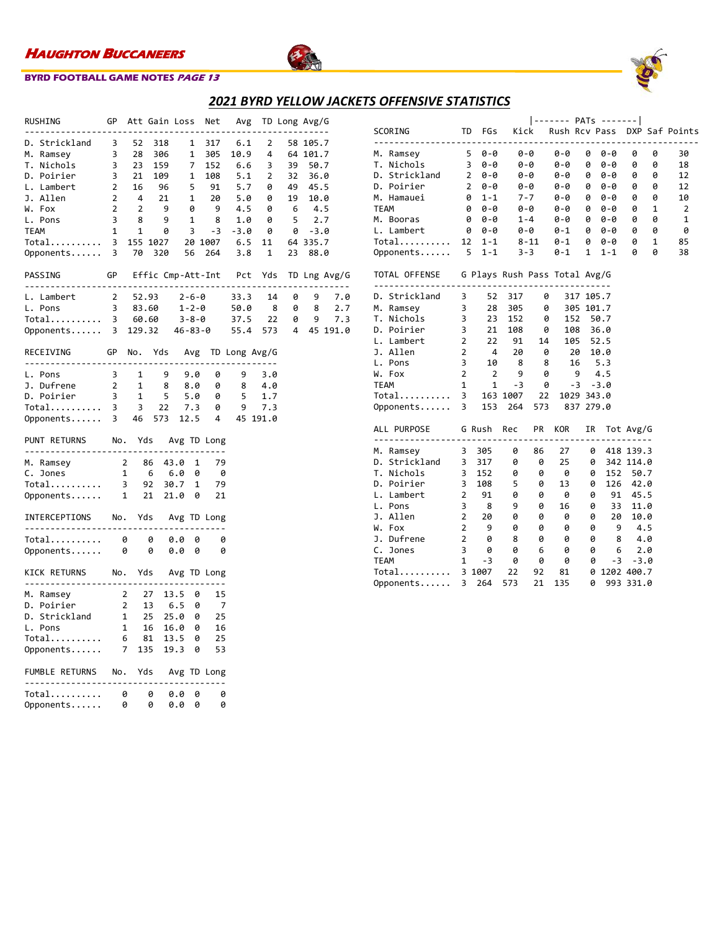

### **BYRD FOOTBALL GAME NOTES PAGE 13**

## *2021 BYRD YELLOW JACKETS OFFENSIVE STATISTICS*

|                                                                                                       |                |                         |                                                         |        |              | ---                                                                     |                 | ---- | , ___________                                                                                                               |            |     |
|-------------------------------------------------------------------------------------------------------|----------------|-------------------------|---------------------------------------------------------|--------|--------------|-------------------------------------------------------------------------|-----------------|------|-----------------------------------------------------------------------------------------------------------------------------|------------|-----|
| RUSHING<br>GP Att Gain Loss<br>------------                                                           |                |                         |                                                         |        |              | .                                                                       |                 |      | Net Avg TD Long Avg/G                                                                                                       | . <u>.</u> |     |
| D. Strickland 3                                                                                       |                | 52                      | 318                                                     |        | $\mathbf{1}$ | 317                                                                     | 6.1             | 2    |                                                                                                                             | 58 105.7   |     |
|                                                                                                       | $\overline{3}$ | 28                      | 306                                                     |        | $\mathbf{1}$ |                                                                         | 305 10.9        |      | $4 \quad$                                                                                                                   | 64 101.7   |     |
| M. Ramsey<br>T. Nichols                                                                               |                |                         |                                                         |        |              |                                                                         | 152 6.6         |      | $3^{\circ}$<br>39                                                                                                           | 50.7       |     |
| D. Poirier                                                                                            |                |                         |                                                         |        |              | $3$ 23 159 7 152<br>$3$ 21 169 1 108<br>$2$ 16 96 5 91<br>$2$ 4 21 1 20 |                 |      | 1 108 5.1 2 32 36.6<br>5 91 5.7 0 49 45.5<br>1 20 5.0 0 19 10.0<br>0 9 4.5 0 6 4.5<br>1 8 1.0 0 5 2.7<br>3 -3 -3.0 0 0 -3.0 |            |     |
| L. Lambert                                                                                            |                |                         |                                                         |        |              |                                                                         |                 |      |                                                                                                                             |            |     |
| J. Allen                                                                                              |                |                         |                                                         |        |              |                                                                         |                 |      |                                                                                                                             |            |     |
| W. Fox                                                                                                | $2^{\circ}$    | $\overline{2}$          | 9                                                       |        | $\theta$     |                                                                         |                 |      |                                                                                                                             |            |     |
| L. Pons                                                                                               | $\overline{3}$ | 8                       | 9                                                       |        |              |                                                                         |                 |      |                                                                                                                             |            |     |
| TEAM                                                                                                  | 1              | $\overline{\mathbf{1}}$ | $\theta$                                                |        |              |                                                                         |                 |      |                                                                                                                             |            |     |
| Total                                                                                                 |                |                         | 3 155 1027                                              |        |              |                                                                         | 20 1007 6.5 11  |      |                                                                                                                             | 64 335.7   |     |
| Opponents                                                                                             |                | 3 70                    | 320                                                     |        | 56           |                                                                         | 264 3.8 1       |      | 23                                                                                                                          | 88.0       |     |
|                                                                                                       |                |                         |                                                         |        |              |                                                                         |                 |      |                                                                                                                             |            |     |
| PASSING GP Effic Cmp-Att-Int Pct Yds TD Lng Avg/G                                                     |                |                         |                                                         |        |              |                                                                         |                 |      |                                                                                                                             |            |     |
| 1. Lambert 2 52.93 2-6-0 33.3 14 0<br>1. Pons 3 83.60 1-2-0 50.0 8 0<br>Total 3 60.60 3-8-0 37.5 22 0 |                |                         |                                                         |        |              |                                                                         |                 |      |                                                                                                                             | 9          | 7.0 |
|                                                                                                       |                |                         |                                                         |        |              |                                                                         |                 |      |                                                                                                                             | 8          | 2.7 |
|                                                                                                       |                |                         |                                                         |        |              |                                                                         |                 |      | $37.5$ 22 0                                                                                                                 | 9          | 7.3 |
| Opponents 3 129.32 46-83-0 55.4 573 4 45 191.0                                                        |                |                         |                                                         |        |              |                                                                         |                 |      |                                                                                                                             |            |     |
| RECEIVING GP No. Yds Avg TD Long Avg/G                                                                |                |                         |                                                         |        |              |                                                                         |                 |      |                                                                                                                             |            |     |
| L. Pons                                                                                               |                | $3 \quad 1$             |                                                         | 9.0    |              | 0                                                                       | 9               | 3.0  |                                                                                                                             |            |     |
|                                                                                                       |                |                         |                                                         |        | 8.0          | 0                                                                       | 8               | 4.0  |                                                                                                                             |            |     |
|                                                                                                       |                |                         |                                                         |        |              | $5$ $5.0$ 0<br>22 7.3 0                                                 | 5 <sub>1</sub>  | 1.7  |                                                                                                                             |            |     |
|                                                                                                       |                |                         |                                                         |        |              |                                                                         | 9               | 7.3  |                                                                                                                             |            |     |
| 1. Pois<br>3. Dufrene 2 1 8<br>1. Poirier 3 1 5<br>Total 3 3 22<br>Opponents 3 46 573                 |                |                         |                                                         |        |              |                                                                         | 12.5 4 45 191.0 |      |                                                                                                                             |            |     |
| PUNT RETURNS No. Yds Avg TD Long                                                                      |                |                         |                                                         |        |              |                                                                         |                 |      |                                                                                                                             |            |     |
|                                                                                                       |                |                         |                                                         |        |              | 79                                                                      |                 |      |                                                                                                                             |            |     |
|                                                                                                       |                |                         |                                                         |        |              | - 0                                                                     |                 |      |                                                                                                                             |            |     |
|                                                                                                       |                |                         |                                                         |        |              | 79                                                                      |                 |      |                                                                                                                             |            |     |
|                                                                                                       |                |                         |                                                         |        |              |                                                                         |                 |      |                                                                                                                             |            |     |
|                                                                                                       |                |                         |                                                         |        |              | 21                                                                      |                 |      |                                                                                                                             |            |     |
| INTERCEPTIONS No. Yds Avg TD Long                                                                     |                |                         |                                                         |        |              |                                                                         |                 |      |                                                                                                                             |            |     |
| Total 0 0                                                                                             |                |                         |                                                         | 0.0    | 0            | 0                                                                       |                 |      |                                                                                                                             |            |     |
| Opponents 0 0                                                                                         |                |                         |                                                         | 0.0    | 0            | 0                                                                       |                 |      |                                                                                                                             |            |     |
|                                                                                                       |                |                         |                                                         |        |              |                                                                         |                 |      |                                                                                                                             |            |     |
| KICK RETURNS No. Yds Avg TD Long<br>-----------------------                                           |                |                         |                                                         |        |              |                                                                         |                 |      |                                                                                                                             |            |     |
| M. Ramsey                                                                                             |                | 2 27                    |                                                         | 13.5   | - 0          | 15                                                                      |                 |      |                                                                                                                             |            |     |
| D. Poirier                                                                                            |                |                         |                                                         |        |              | 7                                                                       |                 |      |                                                                                                                             |            |     |
| D. Strickland                                                                                         |                |                         |                                                         | 25.0 0 |              | 25                                                                      |                 |      |                                                                                                                             |            |     |
| L. Pons                                                                                               |                |                         |                                                         |        |              | 16                                                                      |                 |      |                                                                                                                             |            |     |
| Total                                                                                                 |                |                         | 2 13 6.5 0<br>1 25 25.0 0<br>1 16 16.0 0<br>6 81 13.5 0 |        |              | 25                                                                      |                 |      |                                                                                                                             |            |     |
| Opponents                                                                                             |                |                         | 7 135 19.3 0                                            |        |              | 53                                                                      |                 |      |                                                                                                                             |            |     |
| FUMBLE RETURNS No. Yds Avg TD Long                                                                    |                |                         |                                                         |        |              |                                                                         |                 |      |                                                                                                                             |            |     |
| -----------------                                                                                     |                |                         |                                                         |        |              |                                                                         |                 |      |                                                                                                                             |            |     |
| Total                                                                                                 | $\theta$       |                         | 0                                                       | 0.0    | 0            | 0                                                                       |                 |      |                                                                                                                             |            |     |
| Opponents                                                                                             |                | 0                       | 0                                                       | 0.0    | 0            | 0                                                                       |                 |      |                                                                                                                             |            |     |

|                                             |                          |                                             |       |                    | ------- PATs -------                    |             |                 |           |              |                              |
|---------------------------------------------|--------------------------|---------------------------------------------|-------|--------------------|-----------------------------------------|-------------|-----------------|-----------|--------------|------------------------------|
| <b>SCORING</b>                              |                          | FGs<br>TD                                   |       | Kick               |                                         |             |                 |           |              | Rush Rcv Pass DXP Saf Points |
| M. Ramsey                                   |                          | $50 - 0$                                    |       | 0-0                | 0-0                                     |             | 0 0-0           | 0         | 0            | 30                           |
| T. Nichols                                  |                          | $30 - 0$                                    |       | 0-0                | 0-0                                     | 0           | 0-0             | 0         | 0            | 18                           |
| D. Strickland 2 0-0                         |                          |                                             |       | 0-0                | 0-0                                     | 0           | 0-0             | 0         | 0            | 12                           |
| D. Poirier                                  | $\frac{2}{\theta}$       | 0-0                                         |       | 0-0                | 0-0                                     | 0           | 0-0             | 0         | 0            | 12                           |
| M. Hamauei                                  |                          | $1 - 1$                                     |       | $7 - 7$            | $0 - 0$                                 | 0           | 0-0             | 0         | 0            | 10                           |
| <b>TEAM</b>                                 | 0                        | 0-0                                         |       | 0-0                | 0-0                                     | 0           | 0-0             | 0         | 1            | $\overline{2}$               |
| M. Booras                                   |                          | 0 0-0                                       |       | $1 - 4$            | $0 - 0$                                 | 0           | 0-0             | 0         | 0            | $\mathbf{1}$                 |
| L. Lambert                                  | $\theta$                 | 0-0                                         |       | 0-0                |                                         |             |                 | 0         | 0            | 0                            |
| Total 12 1-1 8-11                           |                          |                                             |       |                    | $0-1$ 0 0-0<br>0-1 0 0-0                |             |                 | 0         | $\mathbf{1}$ | 85                           |
| Opponents 5 1-1                             |                          |                                             |       | $3 - 3$            | $0 - 1$                                 | 1           | $1 - 1$         | 0         | 0            | 38                           |
| TOTAL OFFENSE G Plays Rush Pass Total Avg/G |                          |                                             |       |                    |                                         |             |                 |           |              |                              |
| --------------------------<br>D. Strickland |                          | $3 \t 52$                                   | 317   | 0                  |                                         | 317 105.7   |                 |           |              |                              |
| M. Ramsey                                   |                          | $\begin{array}{ccc}\n3 & 28 \\ \end{array}$ | 305   |                    | $\theta$<br>305 101.7                   |             |                 |           |              |                              |
| T. Nichols                                  | $\overline{\mathbf{3}}$  | 23                                          | 152   | 0                  | 152 50.7                                |             |                 |           |              |                              |
| D. Poirier                                  | $\overline{\phantom{a}}$ | 21                                          |       | $\overline{108}$ 0 | 108 36.0                                |             |                 |           |              |                              |
| $\overline{\mathbf{c}}$<br>L. Lambert       |                          | 22 91 14                                    |       |                    | 105 52.5                                |             |                 |           |              |                              |
| $\overline{\phantom{a}}$<br>J. Allen        |                          |                                             |       |                    |                                         |             |                 |           |              |                              |
| L. Pons                                     | $\overline{\mathbf{3}}$  |                                             |       |                    | 4  20  0  20  10.0<br>10  8  8  16  5.3 |             |                 |           |              |                              |
| W. Fox                                      | $\overline{2}$           | $\overline{\mathbf{2}}$                     | 9     | 0                  | $9 \t 4.5$                              |             |                 |           |              |                              |
| <b>TEAM</b>                                 | $\mathbf{1}$             | $\overline{\mathbf{1}}$                     |       | $-3$ 0             |                                         | $-3 - -3.0$ |                 |           |              |                              |
|                                             |                          |                                             |       | 22                 | 1029 343.0                              |             |                 |           |              |                              |
| Total 3 163 1007<br>Opponents 3 153 264 5   |                          |                                             |       | 573                | 837 279.0                               |             |                 |           |              |                              |
| ALL PURPOSE G Rush Rec                      |                          |                                             |       | PR                 | KOR                                     | IR          |                 | Tot Avg/G |              |                              |
|                                             |                          |                                             |       |                    |                                         |             |                 |           |              |                              |
| M. Ramsey                                   |                          | 3 305                                       | 0     | 86                 | 27                                      | 0           |                 | 418 139.3 |              |                              |
| D. Strickland 3                             |                          | 317                                         | 0     | 0                  | 25                                      | 0           |                 | 342 114.0 |              |                              |
| T. Nichols                                  | $\overline{\phantom{a}}$ |                                             | 152 0 | 0                  | 0                                       | 0           | 152             | 50.7      |              |                              |
| D. Poirier                                  | $\overline{3}$           | 108                                         | 5     | 0                  | 13                                      | 0           | 126             | 42.0      |              |                              |
| L. Lambert                                  | $\overline{2}$           | 91                                          | 0     | 0                  | 0                                       | 0           | 91              | 45.5      |              |                              |
| L. Pons                                     | $\overline{3}$           | $\overline{\phantom{0}}$ 8                  | 9     | 0                  | 16                                      |             | 0 33            | 11.0      |              |                              |
| J. Allen                                    | $\overline{2}$           | 20                                          | 0     | 0                  | 0                                       |             | $\theta$<br>20  | 10.0      |              |                              |
| W. Fox                                      | $2^{\circ}$              | $\frac{9}{9}$                               | 0     | 0                  | 0                                       | 0           | 9               | 4.5       |              |                              |
| J. Dufrene                                  | $\overline{2}$           |                                             | 8     | 0                  | 0                                       |             | $0 \t 8 \t 4.0$ |           |              |                              |
| C. Jones                                    | $\overline{3}$           | $\theta$                                    | 0     | 6                  | 0                                       |             | 0 6 2.0         |           |              |                              |
| <b>TEAM</b>                                 |                          | $1 \quad$<br>$-3$                           | 0     | 0                  | 0                                       |             | 0<br>$-3$       | $-3.0$    |              |                              |
| $Total \ldots \ldots$                       |                          | 3 1007                                      | 22    | 92                 | 81                                      |             | 0 1202 400.7    |           |              |                              |
| Opponents                                   |                          | 3 264                                       | 573   | 21                 | 135                                     | 0           |                 | 993 331.0 |              |                              |

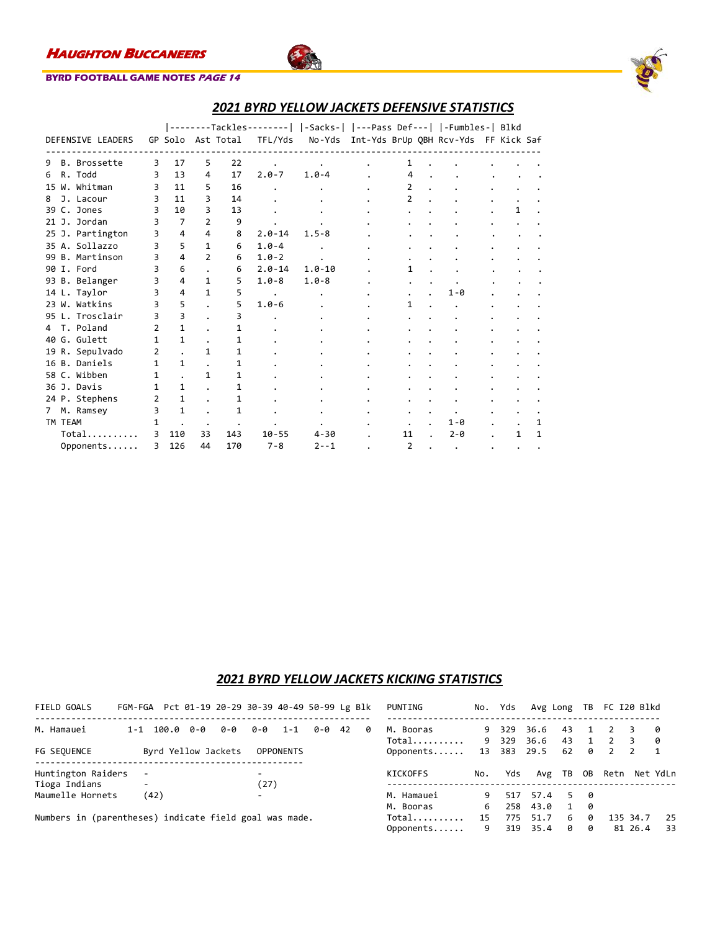

### **BYRD FOOTBALL GAME NOTES PAGE 14**

| 2021 BYRD YELLOW JACKETS DEFENSIVE STATISTICS |
|-----------------------------------------------|
|-----------------------------------------------|

|                   |   |                |                |           |            | --------Tackles--------   -Sacks-   ---Pass Def---   -Fumbles-  Blkd |    |                                             |   |   |
|-------------------|---|----------------|----------------|-----------|------------|----------------------------------------------------------------------|----|---------------------------------------------|---|---|
| DEFENSIVE LEADERS |   | GP Solo        |                | Ast Total | TFL/Yds    |                                                                      |    | No-Yds Int-Yds BrUp QBH Rcv-Yds FF Kick Saf |   |   |
| B. Brossette<br>9 | 3 | 17             | 5.             | 22        |            |                                                                      | 1  |                                             |   |   |
| R. Todd<br>6      | 3 | 13             | 4              | 17        | $2.0 - 7$  | $1.0 - 4$                                                            | 4  |                                             |   |   |
| 15 W. Whitman     | 3 | 11             | 5              | 16        |            |                                                                      | 2  |                                             |   |   |
| J. Lacour<br>8    | 3 | 11             | 3              | 14        |            |                                                                      | 2  |                                             |   |   |
| 39 C. Jones       | 3 | 10             | 3              | 13        |            |                                                                      |    |                                             | 1 |   |
| 21 J. Jordan      | 3 | $\overline{7}$ | $\overline{2}$ | 9         |            |                                                                      |    |                                             |   |   |
| 25 J. Partington  | 3 | 4              | 4              | 8         | $2.0 - 14$ | $1.5 - 8$                                                            |    |                                             |   |   |
| 35 A. Sollazzo    | 3 | 5              | 1              | 6         | $1.0 - 4$  |                                                                      |    |                                             |   |   |
| 99 B. Martinson   | 3 | 4              | 2              | 6         | $1.0 - 2$  |                                                                      |    |                                             |   |   |
| 90 I. Ford        | 3 | 6              |                | 6         | $2.0 - 14$ | $1.0 - 10$                                                           | 1  |                                             |   |   |
| 93 B. Belanger    | 3 | 4              | 1              | 5         | $1.0 - 8$  | $1.0 - 8$                                                            |    |                                             |   |   |
| 14 L. Taylor      |   | 4              | 1              | 5         |            |                                                                      |    | $1 - \theta$                                |   |   |
| 23 W. Watkins     |   | 5              |                | 5         | $1.0 - 6$  |                                                                      | 1  |                                             |   |   |
| 95 L. Trosclair   | 3 | 3              |                | 3         |            |                                                                      |    |                                             |   |   |
| 4 T. Poland       | 2 | 1              |                |           |            |                                                                      |    |                                             |   |   |
| 40 G. Gulett      | 1 | 1              |                |           |            |                                                                      |    |                                             |   |   |
| 19 R. Sepulvado   | 2 |                | 1              | 1         |            |                                                                      |    |                                             |   |   |
| 16 B. Daniels     | 1 | 1              |                |           |            |                                                                      |    |                                             |   |   |
| 58 C. Wibben      | 1 |                | 1              |           |            |                                                                      |    |                                             |   |   |
| 36 J. Davis       | 1 | 1              |                | 1         |            |                                                                      |    |                                             |   |   |
| 24 P. Stephens    | 2 | 1              |                |           |            |                                                                      |    |                                             |   |   |
| M. Ramsey<br>7    | 3 | $\mathbf{1}$   |                |           |            |                                                                      |    |                                             |   |   |
| TM TEAM           | 1 |                |                |           |            |                                                                      |    | $1 - \theta$                                |   | 1 |
| Total             | 3 | 110            | 33             | 143       | $10 - 55$  | $4 - 30$                                                             | 11 | $2 - \theta$                                | 1 | 1 |
| Opponents         | 3 | 126            | 44             | 170       | $7 - 8$    | $2 - -1$                                                             | 2  |                                             |   |   |

### *2021 BYRD YELLOW JACKETS KICKING STATISTICS*

| FIELD GOALS                                            | FGM-FGA Pct 01-19 20-29 30-39 40-49 50-99 Lg Blk |               |     |                     |                                  |                  |       |     | PUNTING            | No.     | Yds            | Avg Long     |                   | TB     | FC I20 Blkd    |          |                       |
|--------------------------------------------------------|--------------------------------------------------|---------------|-----|---------------------|----------------------------------|------------------|-------|-----|--------------------|---------|----------------|--------------|-------------------|--------|----------------|----------|-----------------------|
| M. Hamauei                                             |                                                  | $1 - 1$ 100.0 | 0-0 | 0-0                 | 0-0                              | $1 - 1$          | 0-042 | - 0 | M. Booras          |         | 9 329<br>9 329 | 36.6<br>36.6 | 43                |        | $\overline{2}$ | 3        | - 0                   |
| FG SEQUENCE                                            |                                                  |               |     | Byrd Yellow Jackets |                                  | <b>OPPONENTS</b> |       |     | Total<br>Opponents | 13      | 383            | 29.5         | 43<br>62          | 0      | $\overline{2}$ | 2        | - 0<br>$\overline{1}$ |
| Huntington Raiders                                     |                                                  |               |     |                     | $\overline{\phantom{0}}$         |                  |       |     | KICKOFFS           | No.     | Yds            | Avg TB       |                   | OB     | Retn           |          | Net YdLn              |
| Tioga Indians<br>Maumelle Hornets                      | $\overline{\phantom{a}}$                         | (42)          |     |                     | (27)<br>$\overline{\phantom{0}}$ |                  |       |     | M. Hamauei         | 9       |                | 517 57.4     | 5.                | - A    |                |          |                       |
| Numbers in (parentheses) indicate field goal was made. |                                                  |               |     |                     |                                  |                  |       |     | M. Booras<br>Total | 6<br>15 | 258<br>775     | 43.0<br>51.7 | $\mathbf{1}$<br>6 | 0<br>ø |                | 135 34.7 | 25                    |

Opponents...... 9 319 35.4 0 0 81 26.4 33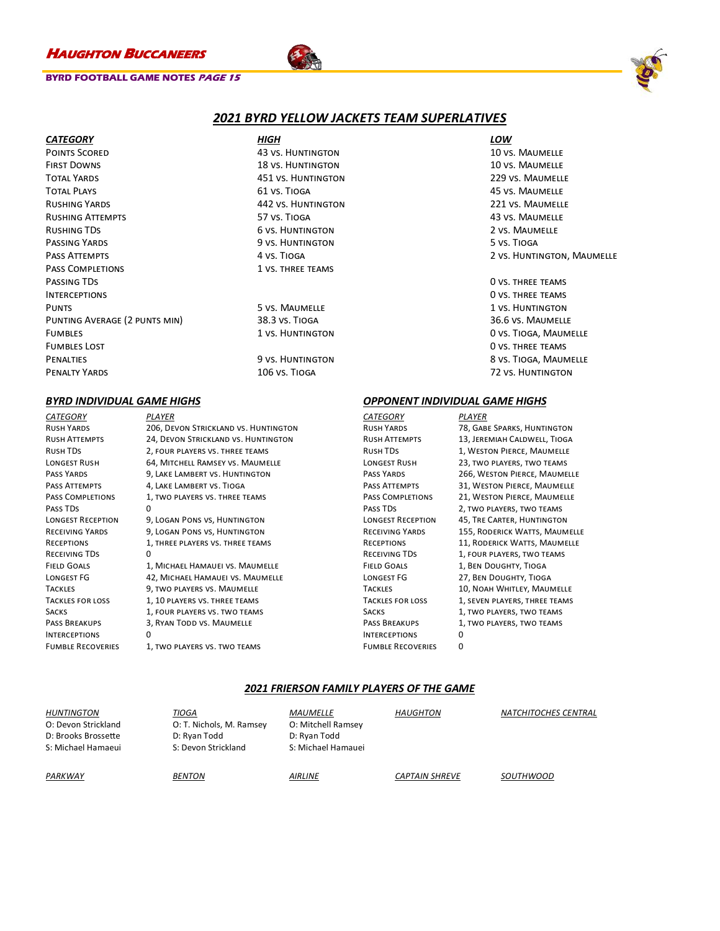### **BYRD FOOTBALL GAME NOTES PAGE 15**



### *2021 BYRD YELLOW JACKETS TEAM SUPERLATIVES*

| <b>CATEGORY</b>               | HIGH                      |                            |  |
|-------------------------------|---------------------------|----------------------------|--|
| <b>POINTS SCORED</b>          | <b>43 VS. HUNTINGTON</b>  | 10 VS. MAUMELLE            |  |
| <b>FIRST DOWNS</b>            | <b>18 VS. HUNTINGTON</b>  | 10 VS. MAUMELLE            |  |
| <b>TOTAL YARDS</b>            | 451 VS. HUNTINGTON        | 229 VS. MAUMELLE           |  |
| <b>TOTAL PLAYS</b>            | 61 VS. TIOGA              | <b>45 VS. MAUMELLE</b>     |  |
| <b>RUSHING YARDS</b>          | <b>442 VS. HUNTINGTON</b> | 221 VS. MAUMELLE           |  |
| <b>RUSHING ATTEMPTS</b>       | 57 VS. TIOGA              | 43 VS. MAUMELLE            |  |
| RUSHING TDS                   | <b>6 VS. HUNTINGTON</b>   | 2 VS. MAUMELLE             |  |
| PASSING YARDS                 | 9 vs. HUNTINGTON          | 5 VS. TIOGA                |  |
| PASS ATTEMPTS                 | 4 VS. TIOGA               | 2 VS. HUNTINGTON, MAUMELLE |  |
| <b>PASS COMPLETIONS</b>       | 1 VS. THREE TEAMS         |                            |  |
| PASSING TDS                   |                           | <b>O VS. THREE TEAMS</b>   |  |
| <b>INTERCEPTIONS</b>          |                           | <b>O VS. THREE TEAMS</b>   |  |
| <b>PUNTS</b>                  | 5 VS. MAUMELLE            | 1 VS. HUNTINGTON           |  |
| PUNTING AVERAGE (2 PUNTS MIN) | 38.3 vs. TIOGA            | 36.6 VS. MAUMELLE          |  |
| <b>FUMBLES</b>                | 1 VS. HUNTINGTON          | 0 VS. TIOGA, MAUMELLE      |  |
| <b>FUMBLES LOST</b>           |                           | <b>O VS. THREE TEAMS</b>   |  |
| <b>PENALTIES</b>              | 9 VS. HUNTINGTON          | 8 VS. TIOGA, MAUMELLE      |  |
| <b>PENALTY YARDS</b>          | 106 VS. TIOGA             | 72 VS. HUNTINGTON          |  |

| CATEGORY                 | PLAYER                               |
|--------------------------|--------------------------------------|
| <b>RUSH YARDS</b>        | 206, DEVON STRICKLAND VS. HUNTINGTON |
| RUSH ATTEMPTS            | 24, DEVON STRICKLAND VS. HUNTINGTON  |
| Rush TDs                 | 2, FOUR PLAYERS VS. THREE TEAMS      |
| LONGEST RUSH             | 64, MITCHELL RAMSEY VS. MAUMELLE     |
| PASS YARDS               | 9, LAKE LAMBERT VS. HUNTINGTON       |
| PASS ATTEMPTS            | 4, LAKE LAMBERT VS. TIOGA            |
| PASS COMPLETIONS         | 1, TWO PLAYERS VS. THREE TEAMS       |
| PASS TDS                 | 0                                    |
| <b>LONGEST RECEPTION</b> | 9, LOGAN PONS VS, HUNTINGTON         |
| RECEIVING YARDS          | 9, LOGAN PONS VS, HUNTINGTON         |
| RECEPTIONS               | 1, THREE PLAYERS VS. THREE TEAMS     |
| RECEIVING TDS            | 0                                    |
| <b>FIELD GOALS</b>       | 1, MICHAEL HAMAUEI VS. MAUMELLE      |
| LONGEST FG               | 42, MICHAEL HAMAUEI VS. MAUMELLE     |
| TACKLES                  | 9, TWO PLAYERS VS. MAUMELLE          |
| <b>TACKLES FOR LOSS</b>  | 1, 10 PLAYERS VS. THREE TEAMS        |
| SACKS                    | 1, FOUR PLAYERS VS. TWO TEAMS        |
| PASS BREAKUPS            | 3, RYAN TODD VS. MAUMELLE            |
| <b>INTERCEPTIONS</b>     | $\Omega$                             |
| <b>FUMBLE RECOVERIES</b> | 1, TWO PLAYERS VS. TWO TEAMS         |
|                          |                                      |

### *BYRD INDIVIDUAL GAME HIGHS OPPONENT INDIVIDUAL GAME HIGHS*

| <i>CATEGORY</i>          | PLAYER                        |
|--------------------------|-------------------------------|
| <b>RUSH YARDS</b>        | 78, GABE SPARKS, HUNTINGTON   |
| <b>RUSH ATTEMPTS</b>     | 13, JEREMIAH CALDWELL, TIOGA  |
| <b>RUSH TDS</b>          | 1, WESTON PIERCE, MAUMELLE    |
| <b>LONGEST RUSH</b>      | 23, TWO PLAYERS, TWO TEAMS    |
| <b>PASS YARDS</b>        | 266, WESTON PIERCE, MAUMELLE  |
| <b>PASS ATTEMPTS</b>     | 31, WESTON PIERCE, MAUMELLE   |
| <b>PASS COMPLETIONS</b>  | 21, WESTON PIERCE, MAUMELLE   |
| <b>PASS TDS</b>          | 2, TWO PLAYERS, TWO TEAMS     |
| <b>LONGEST RECEPTION</b> | 45, TRE CARTER, HUNTINGTON    |
| <b>RECEIVING YARDS</b>   | 155, RODERICK WATTS, MAUMELLE |
| <b>RECEPTIONS</b>        | 11, RODERICK WATTS, MAUMELLE  |
| <b>RECEIVING TDS</b>     | 1, FOUR PLAYERS, TWO TEAMS    |
| <b>FIELD GOALS</b>       | 1, BEN DOUGHTY, TIOGA         |
| <b>LONGEST FG</b>        | 27, BEN DOUGHTY, TIOGA        |
| <b>TACKLES</b>           | 10, NOAH WHITLEY, MAUMELLE    |
| <b>TACKLES FOR LOSS</b>  | 1, SEVEN PLAYERS, THREE TEAMS |
| <b>SACKS</b>             | 1, TWO PLAYERS, TWO TEAMS     |
| <b>PASS BREAKUPS</b>     | 1, TWO PLAYERS, TWO TEAMS     |
| <b>INTERCEPTIONS</b>     | n                             |
| <b>FUMBLE RECOVERIES</b> | n                             |
|                          |                               |

### *2021 FRIERSON FAMILY PLAYERS OF THE GAME*

| HUNTINGTON<br>O: Devon Strickland<br>D: Brooks Brossette<br>S: Michael Hamaeui | TIOGA<br>O: T. Nichols, M. Ramsey<br>D: Ryan Todd<br>S: Devon Strickland | <i>MAUMELLE</i><br>O: Mitchell Ramsey<br>D: Ryan Todd<br>S: Michael Hamauei | <b>HAUGHTON</b>       | <b>NATCHITOCHES CENTRAL</b> |
|--------------------------------------------------------------------------------|--------------------------------------------------------------------------|-----------------------------------------------------------------------------|-----------------------|-----------------------------|
| PARKWAY                                                                        | <b>BENTON</b>                                                            | AIRLINE                                                                     | <b>CAPTAIN SHREVE</b> | <i>SOUTHWOOD</i>            |